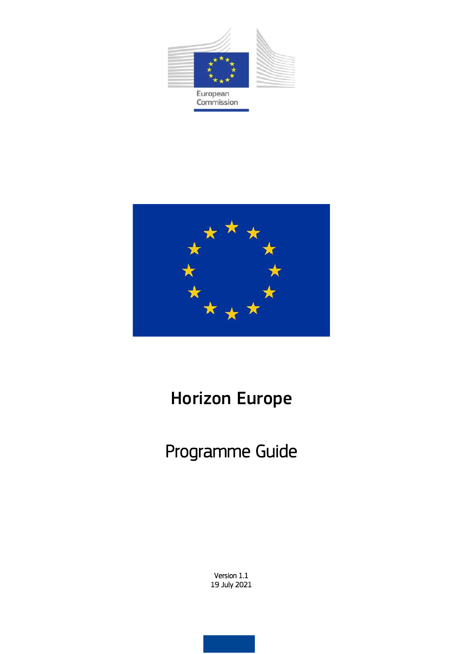



# Horizon Europe

# Programme Guide

Version 1.1 19 July 2021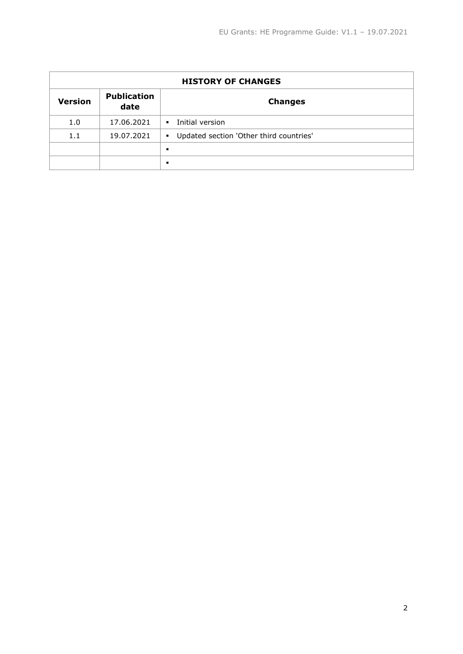| <b>HISTORY OF CHANGES</b> |                            |                                           |  |  |  |  |
|---------------------------|----------------------------|-------------------------------------------|--|--|--|--|
| <b>Version</b>            | <b>Publication</b><br>date | <b>Changes</b>                            |  |  |  |  |
| 1.0                       | 17.06.2021                 | Initial version<br>$\blacksquare$         |  |  |  |  |
| 1.1                       | 19.07.2021                 | • Updated section 'Other third countries' |  |  |  |  |
|                           |                            | ٠                                         |  |  |  |  |
|                           |                            | ٠                                         |  |  |  |  |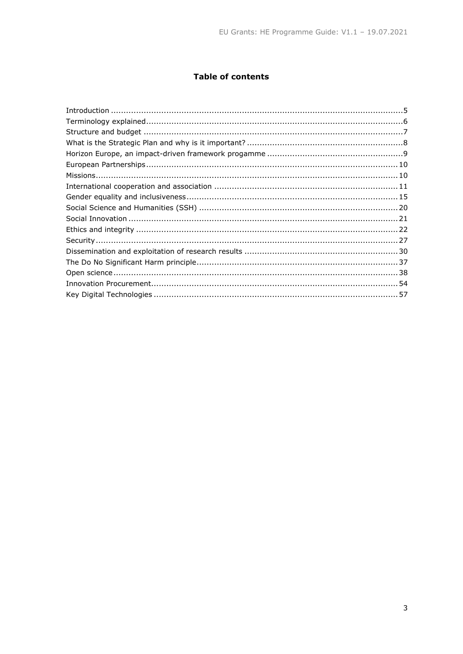# **Table of contents**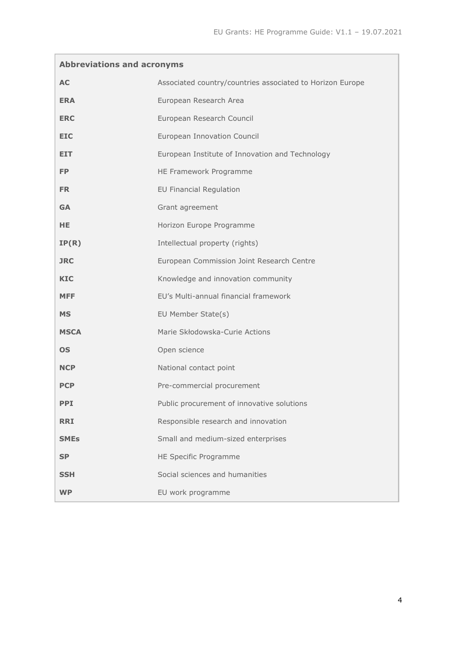| <b>Abbreviations and acronyms</b> |                                                           |  |  |  |  |  |
|-----------------------------------|-----------------------------------------------------------|--|--|--|--|--|
| <b>AC</b>                         | Associated country/countries associated to Horizon Europe |  |  |  |  |  |
| <b>ERA</b>                        | European Research Area                                    |  |  |  |  |  |
| <b>ERC</b>                        | European Research Council                                 |  |  |  |  |  |
| <b>EIC</b>                        | European Innovation Council                               |  |  |  |  |  |
| <b>EIT</b>                        | European Institute of Innovation and Technology           |  |  |  |  |  |
| <b>FP</b>                         | HE Framework Programme                                    |  |  |  |  |  |
| FR.                               | <b>EU Financial Regulation</b>                            |  |  |  |  |  |
| <b>GA</b>                         | Grant agreement                                           |  |  |  |  |  |
| <b>HE</b>                         | Horizon Europe Programme                                  |  |  |  |  |  |
| IP(R)                             | Intellectual property (rights)                            |  |  |  |  |  |
| <b>JRC</b>                        | European Commission Joint Research Centre                 |  |  |  |  |  |
| <b>KIC</b>                        | Knowledge and innovation community                        |  |  |  |  |  |
| <b>MFF</b>                        | EU's Multi-annual financial framework                     |  |  |  |  |  |
| <b>MS</b>                         | EU Member State(s)                                        |  |  |  |  |  |
| <b>MSCA</b>                       | Marie Skłodowska-Curie Actions                            |  |  |  |  |  |
| <b>OS</b>                         | Open science                                              |  |  |  |  |  |
| <b>NCP</b>                        | National contact point                                    |  |  |  |  |  |
| <b>PCP</b>                        | Pre-commercial procurement                                |  |  |  |  |  |
| PPI.                              | Public procurement of innovative solutions                |  |  |  |  |  |
| <b>RRI</b>                        | Responsible research and innovation                       |  |  |  |  |  |
| <b>SMEs</b>                       | Small and medium-sized enterprises                        |  |  |  |  |  |
| <b>SP</b>                         | HE Specific Programme                                     |  |  |  |  |  |
| <b>SSH</b>                        | Social sciences and humanities                            |  |  |  |  |  |
| <b>WP</b>                         | EU work programme                                         |  |  |  |  |  |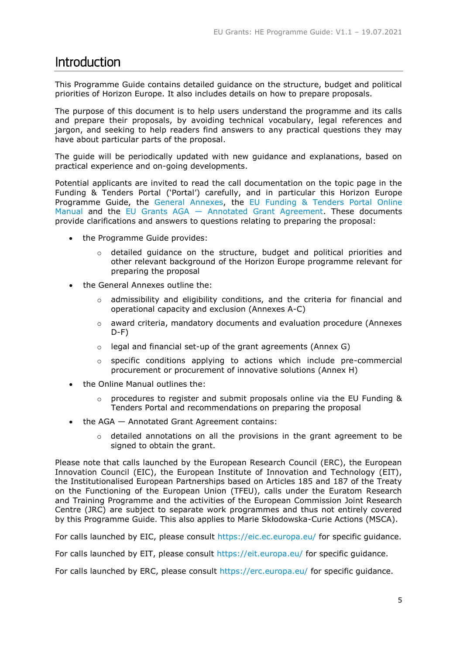# <span id="page-4-0"></span>**Introduction**

This Programme Guide contains detailed guidance on the structure, budget and political priorities of Horizon Europe. It also includes details on how to prepare proposals.

The purpose of this document is to help users understand the programme and its calls and prepare their proposals, by avoiding technical vocabulary, legal references and jargon, and seeking to help readers find answers to any practical questions they may have about particular parts of the proposal.

The guide will be periodically updated with new guidance and explanations, based on practical experience and on-going developments.

Potential applicants are invited to read the call documentation on the topic page in the Funding & Tenders Portal ('Portal') carefully, and in particular this Horizon Europe Programme Guide, the [General Annexes,](https://ec.europa.eu/info/funding-tenders/opportunities/docs/2021-2027/horizon/wp-call/2021-2022/wp-13-general-annexes_horizon-2021-2022_en.pdf) the [EU Funding & Tenders Portal Online](https://ec.europa.eu/info/funding-tenders/opportunities/docs/2021-2027/common/guidance/om_en.pdf)  [Manual](https://ec.europa.eu/info/funding-tenders/opportunities/docs/2021-2027/common/guidance/om_en.pdf) and the EU Grants AGA — [Annotated Grant Agreement.](https://ec.europa.eu/info/funding-tenders/opportunities/docs/2021-2027/common/guidance/aga_en.pdf) These documents provide clarifications and answers to questions relating to preparing the proposal:

- the Programme Guide provides:
	- $\circ$  detailed quidance on the structure, budget and political priorities and other relevant background of the Horizon Europe programme relevant for preparing the proposal
- the General Annexes outline the:
	- $\circ$  admissibility and eligibility conditions, and the criteria for financial and operational capacity and exclusion (Annexes A-C)
	- $\circ$  award criteria, mandatory documents and evaluation procedure (Annexes  $D-F$ )
	- $\circ$  legal and financial set-up of the grant agreements (Annex G)
	- o specific conditions applying to actions which include pre-commercial procurement or procurement of innovative solutions (Annex H)
- the Online Manual outlines the:
	- $\circ$  procedures to register and submit proposals online via the EU Funding & Tenders Portal and recommendations on preparing the proposal
- the AGA Annotated Grant Agreement contains:
	- $\circ$  detailed annotations on all the provisions in the grant agreement to be signed to obtain the grant.

Please note that calls launched by the European Research Council (ERC), the European Innovation Council (EIC), the European Institute of Innovation and Technology (EIT), the Institutionalised European Partnerships based on Articles 185 and 187 of the Treaty on the Functioning of the European Union (TFEU), calls under the Euratom Research and Training Programme and the activities of the European Commission Joint Research Centre (JRC) are subject to separate work programmes and thus not entirely covered by this Programme Guide. This also applies to Marie Skłodowska-Curie Actions (MSCA).

For calls launched by EIC, please consult [https://eic.ec.europa.eu/](https://eic.ec.europa.eu/index_en) for specific guidance.

For calls launched by EIT, please consult<https://eit.europa.eu/> for specific guidance.

For calls launched by ERC, please consult<https://erc.europa.eu/> for specific guidance.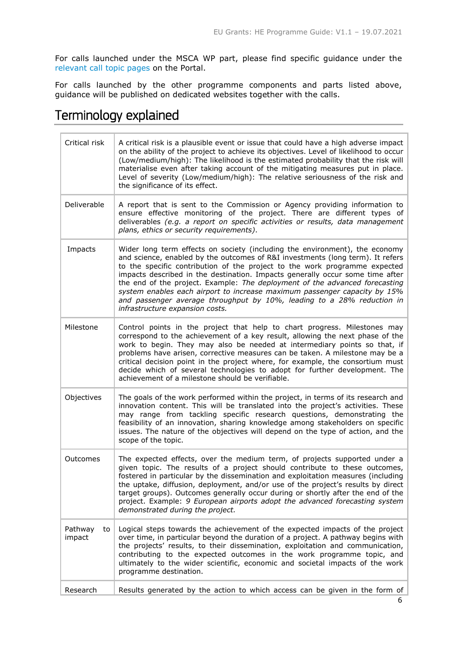For calls launched under the MSCA WP part, please find specific guidance under the [relevant call topic pages](https://ec.europa.eu/info/funding-tenders/opportunities/portal/screen/opportunities/topic-search;callCode=null;freeTextSearchKeyword=;matchWholeText=true;typeCodes=1,0;statusCodes=31094501,31094502,31094503;programmePeriod=2021%20-%202027;programCcm2Id=43108390;programDivisionCode=43108473;focusAreaCode=null;destination=null;mission=null;geographicalZonesCode=null;programmeDivisionProspect=null;startDateLte=null;startDateGte=null;crossCuttingPriorityCode=null;cpvCode=null;performanceOfDelivery=null;sortQuery=sortStatus;orderBy=asc;onlyTenders=false;topicListKey=topicSearchTablePageState) on the Portal.

For calls launched by the other programme components and parts listed above, guidance will be published on dedicated websites together with the calls.

# <span id="page-5-0"></span>Terminology explained

| Critical risk                                                                                                                                                                                                                                                                                                                                                                                                                                                                                                                                                                                                    | A critical risk is a plausible event or issue that could have a high adverse impact<br>on the ability of the project to achieve its objectives. Level of likelihood to occur<br>(Low/medium/high): The likelihood is the estimated probability that the risk will<br>materialise even after taking account of the mitigating measures put in place.<br>Level of severity (Low/medium/high): The relative seriousness of the risk and<br>the significance of its effect.                                                                     |
|------------------------------------------------------------------------------------------------------------------------------------------------------------------------------------------------------------------------------------------------------------------------------------------------------------------------------------------------------------------------------------------------------------------------------------------------------------------------------------------------------------------------------------------------------------------------------------------------------------------|---------------------------------------------------------------------------------------------------------------------------------------------------------------------------------------------------------------------------------------------------------------------------------------------------------------------------------------------------------------------------------------------------------------------------------------------------------------------------------------------------------------------------------------------|
| Deliverable                                                                                                                                                                                                                                                                                                                                                                                                                                                                                                                                                                                                      | A report that is sent to the Commission or Agency providing information to<br>ensure effective monitoring of the project. There are different types of<br>deliverables (e.g. a report on specific activities or results, data management<br>plans, ethics or security requirements).                                                                                                                                                                                                                                                        |
| Impacts<br>Wider long term effects on society (including the environment), the economy<br>and science, enabled by the outcomes of R&I investments (long term). It refers<br>to the specific contribution of the project to the work programme expected<br>impacts described in the destination. Impacts generally occur some time after<br>the end of the project. Example: The deployment of the advanced forecasting<br>system enables each airport to increase maximum passenger capacity by 15%<br>and passenger average throughput by 10%, leading to a 28% reduction in<br>infrastructure expansion costs. |                                                                                                                                                                                                                                                                                                                                                                                                                                                                                                                                             |
| Milestone                                                                                                                                                                                                                                                                                                                                                                                                                                                                                                                                                                                                        | Control points in the project that help to chart progress. Milestones may<br>correspond to the achievement of a key result, allowing the next phase of the<br>work to begin. They may also be needed at intermediary points so that, if<br>problems have arisen, corrective measures can be taken. A milestone may be a<br>critical decision point in the project where, for example, the consortium must<br>decide which of several technologies to adopt for further development. The<br>achievement of a milestone should be verifiable. |
| Objectives                                                                                                                                                                                                                                                                                                                                                                                                                                                                                                                                                                                                       | The goals of the work performed within the project, in terms of its research and<br>innovation content. This will be translated into the project's activities. These<br>may range from tackling specific research questions, demonstrating the<br>feasibility of an innovation, sharing knowledge among stakeholders on specific<br>issues. The nature of the objectives will depend on the type of action, and the<br>scope of the topic.                                                                                                  |
| Outcomes                                                                                                                                                                                                                                                                                                                                                                                                                                                                                                                                                                                                         | The expected effects, over the medium term, of projects supported under a<br>given topic. The results of a project should contribute to these outcomes,<br>fostered in particular by the dissemination and exploitation measures (including<br>the uptake, diffusion, deployment, and/or use of the project's results by direct<br>target groups). Outcomes generally occur during or shortly after the end of the<br>project. Example: 9 European airports adopt the advanced forecasting system<br>demonstrated during the project.       |
| Pathway<br>to<br>impact                                                                                                                                                                                                                                                                                                                                                                                                                                                                                                                                                                                          | Logical steps towards the achievement of the expected impacts of the project<br>over time, in particular beyond the duration of a project. A pathway begins with<br>the projects' results, to their dissemination, exploitation and communication,<br>contributing to the expected outcomes in the work programme topic, and<br>ultimately to the wider scientific, economic and societal impacts of the work<br>programme destination.                                                                                                     |
| Research                                                                                                                                                                                                                                                                                                                                                                                                                                                                                                                                                                                                         | Results generated by the action to which access can be given in the form of                                                                                                                                                                                                                                                                                                                                                                                                                                                                 |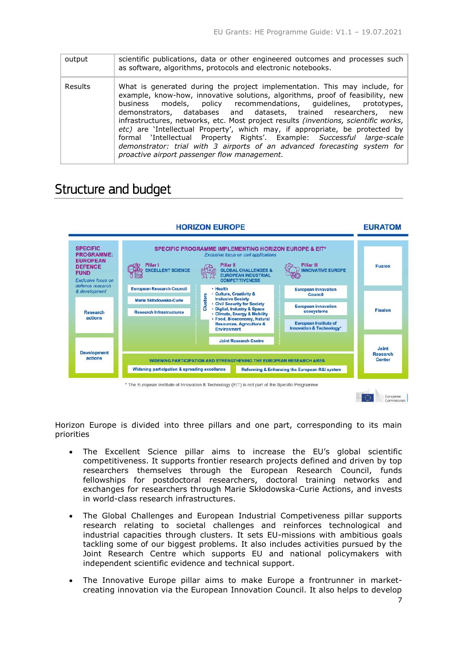| output         | scientific publications, data or other engineered outcomes and processes such<br>as software, algorithms, protocols and electronic notebooks.                                                                                                                                                                                                                                                                                                                                                                                                                                                                                                                                        |
|----------------|--------------------------------------------------------------------------------------------------------------------------------------------------------------------------------------------------------------------------------------------------------------------------------------------------------------------------------------------------------------------------------------------------------------------------------------------------------------------------------------------------------------------------------------------------------------------------------------------------------------------------------------------------------------------------------------|
| <b>Results</b> | What is generated during the project implementation. This may include, for<br>example, know-how, innovative solutions, algorithms, proof of feasibility, new<br>models, policy recommendations, quidelines, prototypes,<br>business<br>demonstrators, databases and datasets, trained researchers, new<br>infrastructures, networks, etc. Most project results (inventions, scientific works,<br>etc) are 'Intellectual Property', which may, if appropriate, be protected by<br>formal 'Intellectual Property Rights'. Example: Successful large-scale<br>demonstrator: trial with 3 airports of an advanced forecasting system for<br>proactive airport passenger flow management. |

# <span id="page-6-0"></span>Structure and budget



Horizon Europe is divided into three pillars and one part, corresponding to its main priorities

- The Excellent Science pillar aims to increase the EU's global scientific competitiveness. It supports frontier research projects defined and driven by top researchers themselves through the European Research Council, funds fellowships for postdoctoral researchers, doctoral training networks and exchanges for researchers through Marie Skłodowska-Curie Actions, and invests in world-class research infrastructures.
- The Global Challenges and European Industrial Competiveness pillar supports research relating to societal challenges and reinforces technological and industrial capacities through clusters. It sets EU-missions with ambitious goals tackling some of our biggest problems. It also includes activities pursued by the Joint Research Centre which supports EU and national policymakers with independent scientific evidence and technical support.
- The Innovative Europe pillar aims to make Europe a frontrunner in marketcreating innovation via the European Innovation Council. It also helps to develop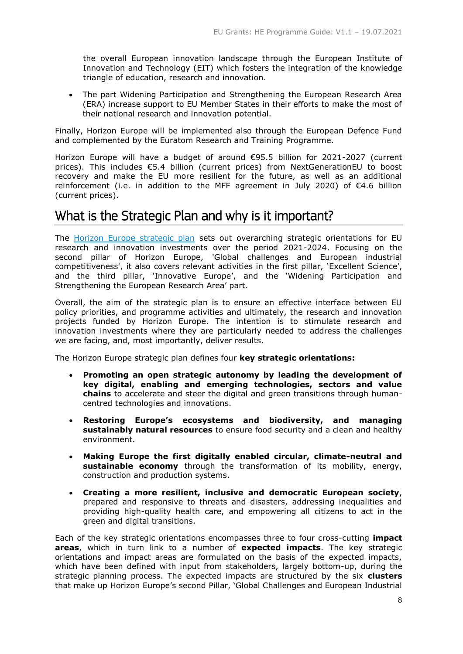the overall European innovation landscape through the European Institute of Innovation and Technology (EIT) which fosters the integration of the knowledge triangle of education, research and innovation.

 The part Widening Participation and Strengthening the European Research Area (ERA) increase support to EU Member States in their efforts to make the most of their national research and innovation potential.

Finally, Horizon Europe will be implemented also through the European Defence Fund and complemented by the Euratom Research and Training Programme.

Horizon Europe will have a budget of around €95.5 billion for 2021-2027 (current prices). This includes €5.4 billion (current prices) from NextGenerationEU to boost recovery and make the EU more resilient for the future, as well as an additional reinforcement (i.e. in addition to the MFF agreement in July 2020) of €4.6 billion (current prices).

# <span id="page-7-0"></span>What is the Strategic Plan and why is it important?

The [Horizon Europe strategic plan](https://op.europa.eu/en/web/eu-law-and-publications/publication-detail/-/publication/3c6ffd74-8ac3-11eb-b85c-01aa75ed71a1) sets out overarching strategic orientations for EU research and innovation investments over the period 2021-2024. Focusing on the second pillar of Horizon Europe, 'Global challenges and European industrial competitiveness', it also covers relevant activities in the first pillar, 'Excellent Science', and the third pillar, 'Innovative Europe', and the 'Widening Participation and Strengthening the European Research Area' part.

Overall, the aim of the strategic plan is to ensure an effective interface between EU policy priorities, and programme activities and ultimately, the research and innovation projects funded by Horizon Europe. The intention is to stimulate research and innovation investments where they are particularly needed to address the challenges we are facing, and, most importantly, deliver results.

The Horizon Europe strategic plan defines four **key strategic orientations:**

- **Promoting an open strategic autonomy by leading the development of key digital, enabling and emerging technologies, sectors and value chains** to accelerate and steer the digital and green transitions through humancentred technologies and innovations.
- **Restoring Europe's ecosystems and biodiversity, and managing sustainably natural resources** to ensure food security and a clean and healthy environment.
- **Making Europe the first digitally enabled circular, climate-neutral and sustainable economy** through the transformation of its mobility, energy, construction and production systems.
- **Creating a more resilient, inclusive and democratic European society**, prepared and responsive to threats and disasters, addressing inequalities and providing high-quality health care, and empowering all citizens to act in the green and digital transitions.

Each of the key strategic orientations encompasses three to four cross-cutting **impact areas**, which in turn link to a number of **expected impacts**. The key strategic orientations and impact areas are formulated on the basis of the expected impacts, which have been defined with input from stakeholders, largely bottom-up, during the strategic planning process. The expected impacts are structured by the six **clusters** that make up Horizon Europe's second Pillar, 'Global Challenges and European Industrial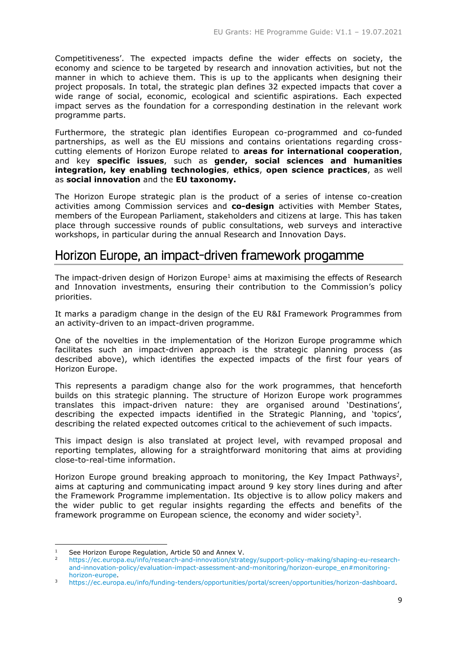Competitiveness'. The expected impacts define the wider effects on society, the economy and science to be targeted by research and innovation activities, but not the manner in which to achieve them. This is up to the applicants when designing their project proposals. In total, the strategic plan defines 32 expected impacts that cover a wide range of social, economic, ecological and scientific aspirations. Each expected impact serves as the foundation for a corresponding destination in the relevant work programme parts.

Furthermore, the strategic plan identifies European co-programmed and co-funded partnerships, as well as the EU missions and contains orientations regarding crosscutting elements of Horizon Europe related to **areas for international cooperation**, and key **specific issues**, such as **gender, social sciences and humanities integration, key enabling technologies**, **ethics**, **open science practices**, as well as **social innovation** and the **EU taxonomy.**

The Horizon Europe strategic plan is the product of a series of intense co-creation activities among Commission services and **co-design** activities with Member States, members of the European Parliament, stakeholders and citizens at large. This has taken place through successive rounds of public consultations, web surveys and interactive workshops, in particular during the annual Research and Innovation Days.

# <span id="page-8-0"></span>Horizon Europe, an impact-driven framework progamme

The impact-driven design of Horizon Europe<sup>1</sup> aims at maximising the effects of Research and Innovation investments, ensuring their contribution to the Commission's policy priorities.

It marks a paradigm change in the design of the EU R&I Framework Programmes from an activity-driven to an impact-driven programme.

One of the novelties in the implementation of the Horizon Europe programme which facilitates such an impact-driven approach is the strategic planning process (as described above), which identifies the expected impacts of the first four years of Horizon Europe.

This represents a paradigm change also for the work programmes, that henceforth builds on this strategic planning. The structure of Horizon Europe work programmes translates this impact-driven nature: they are organised around 'Destinations', describing the expected impacts identified in the Strategic Planning, and 'topics', describing the related expected outcomes critical to the achievement of such impacts.

This impact design is also translated at project level, with revamped proposal and reporting templates, allowing for a straightforward monitoring that aims at providing close-to-real-time information.

Horizon Europe ground breaking approach to monitoring, the Key Impact Pathways<sup>2</sup>, aims at capturing and communicating impact around 9 key story lines during and after the Framework Programme implementation. Its objective is to allow policy makers and the wider public to get regular insights regarding the effects and benefits of the framework programme on European science, the economy and wider society<sup>3</sup>.

-

<sup>&</sup>lt;sup>1</sup> See Horizon Europe Regulation, Article 50 and Annex V.<br><sup>2</sup> https://es.europe.ou/info/research.and.innovation/strat

<sup>2</sup> [https://ec.europa.eu/info/research-and-innovation/strategy/support-policy-making/shaping-eu-research](https://ec.europa.eu/info/research-and-innovation/strategy/support-policy-making/shaping-eu-research-and-innovation-policy/evaluation-impact-assessment-and-monitoring/horizon-europe_en#monitoring-horizon-europe)[and-innovation-policy/evaluation-impact-assessment-and-monitoring/horizon-europe\\_en#monitoring](https://ec.europa.eu/info/research-and-innovation/strategy/support-policy-making/shaping-eu-research-and-innovation-policy/evaluation-impact-assessment-and-monitoring/horizon-europe_en#monitoring-horizon-europe)[horizon-europe.](https://ec.europa.eu/info/research-and-innovation/strategy/support-policy-making/shaping-eu-research-and-innovation-policy/evaluation-impact-assessment-and-monitoring/horizon-europe_en#monitoring-horizon-europe)

<sup>3</sup> [https://ec.europa.eu/info/funding-tenders/opportunities/portal/screen/opportunities/horizon-dashboard.](https://ec.europa.eu/info/funding-tenders/opportunities/portal/screen/opportunities/horizon-dashboard)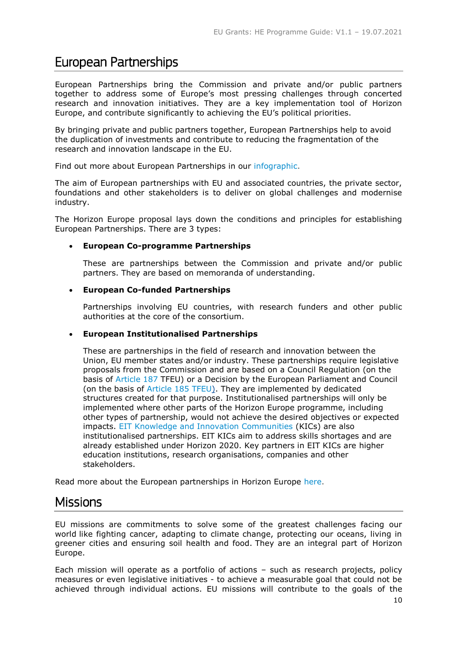# <span id="page-9-0"></span>European Partnerships

European Partnerships bring the Commission and private and/or public partners together to address some of Europe's most pressing challenges through concerted research and innovation initiatives. They are a key implementation tool of Horizon Europe, and contribute significantly to achieving the EU's political priorities.

By bringing private and public partners together, European Partnerships help to avoid the duplication of investments and contribute to reducing the fragmentation of the research and innovation landscape in the EU.

Find out more about European Partnerships in our [infographic.](https://ec.europa.eu/info/horizon-europe/european-partnerships-horizon-europe_en)

The aim of European partnerships with EU and associated countries, the private sector, foundations and other stakeholders is to deliver on global challenges and modernise industry.

The Horizon Europe proposal lays down the conditions and principles for establishing European Partnerships. There are 3 types:

# **European Co-programme Partnerships**

These are partnerships between the Commission and private and/or public partners. They are based on memoranda of understanding.

# **European Co-funded Partnerships**

Partnerships involving EU countries, with research funders and other public authorities at the core of the consortium.

# **European Institutionalised Partnerships**

These are partnerships in the field of research and innovation between the Union, EU member states and/or industry. These partnerships require legislative proposals from the Commission and are based on a Council Regulation (on the basis of [Article 187](https://eur-lex.europa.eu/summary/glossary/joint_undertaking.html) TFEU) or a Decision by the European Parliament and Council (on the basis of [Article 185 TFEU\).](https://ec.europa.eu/programmes/horizon2020/en/h2020-section/article-185) They are implemented by dedicated structures created for that purpose. Institutionalised partnerships will only be implemented where other parts of the Horizon Europe programme, including other types of partnership, would not achieve the desired objectives or expected impacts. [EIT Knowledge and Innovation Communities](https://eit.europa.eu/our-communities/eit-innovation-communities) (KICs) are also institutionalised partnerships. EIT KICs aim to address skills shortages and are already established under Horizon 2020. Key partners in EIT KICs are higher education institutions, research organisations, companies and other stakeholders.

Read more about the European partnerships in Horizon Europe [here.](https://ec.europa.eu/info/horizon-europe/european-partnerships-horizon-europe_en)

# <span id="page-9-1"></span>**Missions**

EU missions are commitments to solve some of the greatest challenges facing our world like fighting cancer, adapting to climate change, protecting our oceans, living in greener cities and ensuring soil health and food. They are an integral part of Horizon Europe.

Each mission will operate as a portfolio of actions – such as research projects, policy measures or even legislative initiatives - to achieve a measurable goal that could not be achieved through individual actions. EU missions will contribute to the goals of the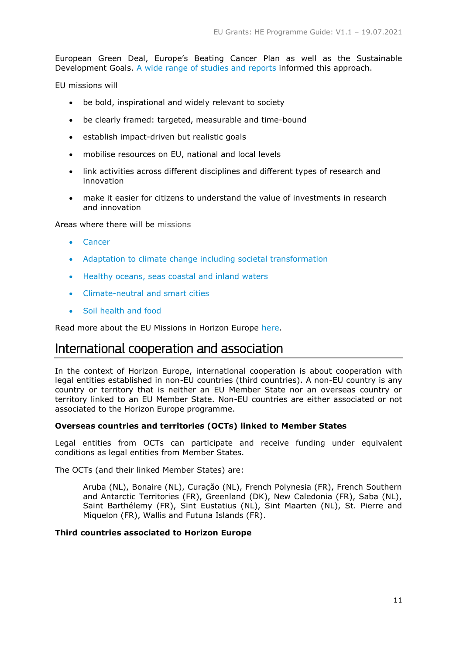European Green Deal, Europe's Beating Cancer Plan as well as the Sustainable Development Goals. [A wide range of studies and reports](https://ec.europa.eu/info/horizon-europe/missions-horizon-europe/mission-oriented-policy-studies-and-reports_en) informed this approach.

EU missions will

- be bold, inspirational and widely relevant to society
- be clearly framed: targeted, measurable and time-bound
- establish impact-driven but realistic goals
- mobilise resources on EU, national and local levels
- link activities across different disciplines and different types of research and innovation
- make it easier for citizens to understand the value of investments in research and innovation

Areas where there will be missions

- [Cancer](https://ec.europa.eu/info/horizon-europe/missions-horizon-europe/cancer_en)
- [Adaptation to climate change including societal transformation](https://ec.europa.eu/info/horizon-europe/missions-horizon-europe/adaptation-climate-change-including-societal-transformation_en)
- [Healthy oceans, seas coastal and inland waters](https://ec.europa.eu/info/horizon-europe/missions-horizon-europe/healthy-oceans-seas-coastal-and-inland-waters_en)
- [Climate-neutral and smart cities](https://ec.europa.eu/info/horizon-europe/missions-horizon-europe/climate-neutral-and-smart-cities_en)
- [Soil health and food](https://ec.europa.eu/info/horizon-europe/missions-horizon-europe/soil-health-and-food_en)

Read more about the EU Missions in Horizon Europe [here.](https://ec.europa.eu/info/horizon-europe/missions-horizon-europe_en)

# <span id="page-10-0"></span>International cooperation and association

In the context of Horizon Europe, international cooperation is about cooperation with legal entities established in non-EU countries (third countries). A non-EU country is any country or territory that is neither an EU Member State nor an overseas country or territory linked to an EU Member State. Non-EU countries are either associated or not associated to the Horizon Europe programme.

# **Overseas countries and territories (OCTs) linked to Member States**

Legal entities from OCTs can participate and receive funding under equivalent conditions as legal entities from Member States.

The OCTs (and their linked Member States) are:

Aruba (NL), Bonaire (NL), Curação (NL), French Polynesia (FR), French Southern and Antarctic Territories (FR), Greenland (DK), New Caledonia (FR), Saba (NL), Saint Barthélemy (FR), Sint Eustatius (NL), Sint Maarten (NL), St. Pierre and Miquelon (FR), Wallis and Futuna Islands (FR).

# **Third countries associated to Horizon Europe**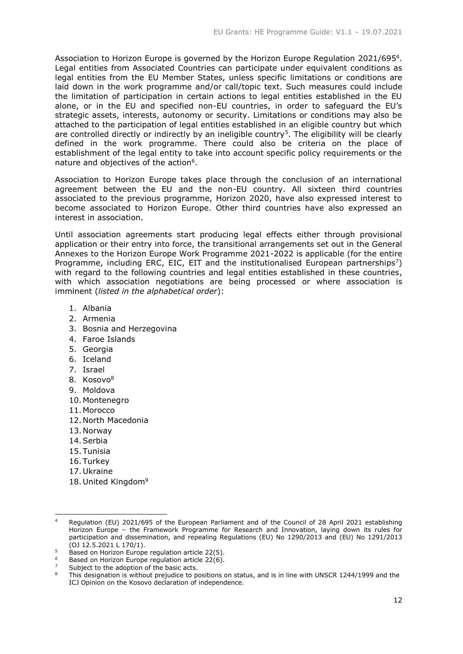Association to Horizon Europe is governed by the Horizon Europe Regulation 2021/695<sup>4</sup>. Legal entities from Associated Countries can participate under equivalent conditions as legal entities from the EU Member States, unless specific limitations or conditions are laid down in the work programme and/or call/topic text. Such measures could include the limitation of participation in certain actions to legal entities established in the EU alone, or in the EU and specified non-EU countries, in order to safeguard the EU's strategic assets, interests, autonomy or security. Limitations or conditions may also be attached to the participation of legal entities established in an eligible country but which are controlled directly or indirectly by an ineligible country<sup>5</sup>. The eligibility will be clearly defined in the work programme. There could also be criteria on the place of establishment of the legal entity to take into account specific policy requirements or the nature and objectives of the action<sup>6</sup>.

Association to Horizon Europe takes place through the conclusion of an international agreement between the EU and the non-EU country. All sixteen third countries associated to the previous programme, Horizon 2020, have also expressed interest to become associated to Horizon Europe. Other third countries have also expressed an interest in association.

Until association agreements start producing legal effects either through provisional application or their entry into force, the transitional arrangements set out in the General Annexes to the Horizon Europe Work Programme 2021-2022 is applicable (for the entire Programme, including ERC, EIC, EIT and the institutionalised European partnerships<sup>7</sup>) with regard to the following countries and legal entities established in these countries, with which association negotiations are being processed or where association is imminent (*listed in the alphabetical order*):

- 1. Albania
- 2. Armenia
- 3. Bosnia and Herzegovina
- 4. Faroe Islands
- 5. Georgia
- 6. Iceland
- 7. Israel
- 8. Kosovo<sup>8</sup>
- 9. Moldova
- 10. Montenegro
- 11. Morocco
- 12.North Macedonia
- 13.Norway
- 14.Serbia
- 15.Tunisia
- 16.Turkey
- 17.Ukraine

-

18. United Kingdom<sup>9</sup>

Regulation (EU) 2021/695 of the European Parliament and of the Council of 28 April 2021 establishing Horizon Europe – the Framework Programme for Research and Innovation, laying down its rules for participation and dissemination, and repealing Regulations (EU) No 1290/2013 and (EU) No 1291/2013 (OJ 12.5.2021 L 170/1).

 $5$  Based on Horizon Europe regulation article 22(5).

Based on Horizon Europe regulation article 22(6).

Subject to the adoption of the basic acts.

This designation is without prejudice to positions on status, and is in line with UNSCR 1244/1999 and the ICJ Opinion on the Kosovo declaration of independence.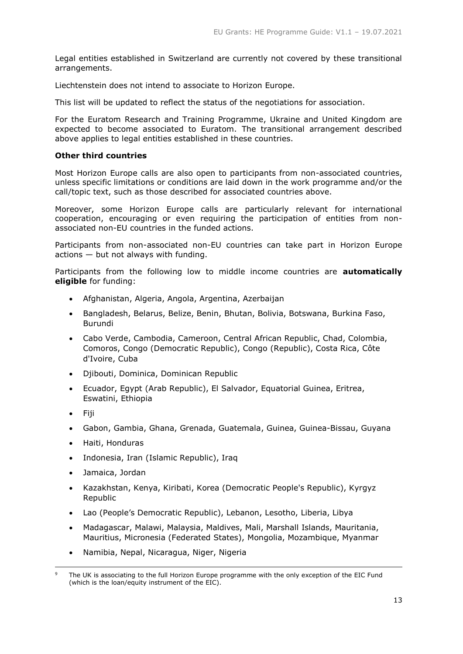Legal entities established in Switzerland are currently not covered by these transitional arrangements.

Liechtenstein does not intend to associate to Horizon Europe.

This list will be updated to reflect the status of the negotiations for association.

For the Euratom Research and Training Programme, Ukraine and United Kingdom are expected to become associated to Euratom. The transitional arrangement described above applies to legal entities established in these countries.

# **Other third countries**

Most Horizon Europe calls are also open to participants from non-associated countries, unless specific limitations or conditions are laid down in the work programme and/or the call/topic text, such as those described for associated countries above.

Moreover, some Horizon Europe calls are particularly relevant for international cooperation, encouraging or even requiring the participation of entities from nonassociated non-EU countries in the funded actions.

Participants from non-associated non-EU countries can take part in Horizon Europe  $actions$  — but not always with funding.

Participants from the following low to middle income countries are **automatically eligible** for funding:

- Afghanistan, Algeria, Angola, Argentina, Azerbaijan
- Bangladesh, Belarus, Belize, Benin, Bhutan, Bolivia, Botswana, Burkina Faso, Burundi
- Cabo Verde, Cambodia, Cameroon, Central African Republic, Chad, Colombia, Comoros, Congo (Democratic Republic), Congo (Republic), Costa Rica, Côte d'Ivoire, Cuba
- Djibouti, Dominica, Dominican Republic
- Ecuador, Egypt (Arab Republic), El Salvador, Equatorial Guinea, Eritrea, Eswatini, Ethiopia
- Fiii

-

- Gabon, Gambia, Ghana, Grenada, Guatemala, Guinea, Guinea-Bissau, Guyana
- Haiti, Honduras
- Indonesia, Iran (Islamic Republic), Iraq
- Jamaica, Jordan
- Kazakhstan, Kenya, Kiribati, Korea (Democratic People's Republic), Kyrgyz Republic
- Lao (People's Democratic Republic), Lebanon, Lesotho, Liberia, Libya
- Madagascar, Malawi, Malaysia, Maldives, Mali, Marshall Islands, Mauritania, Mauritius, Micronesia (Federated States), Mongolia, Mozambique, Myanmar
- Namibia, Nepal, Nicaragua, Niger, Nigeria

The UK is associating to the full Horizon Europe programme with the only exception of the EIC Fund (which is the loan/equity instrument of the EIC).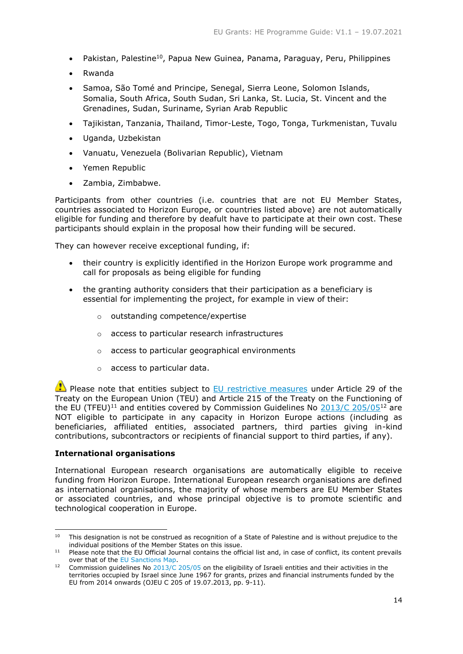- Pakistan, Palestine<sup>10</sup>, Papua New Guinea, Panama, Paraguay, Peru, Philippines
- Rwanda
- Samoa, São Tomé and Principe, Senegal, Sierra Leone, Solomon Islands, Somalia, South Africa, South Sudan, Sri Lanka, St. Lucia, St. Vincent and the Grenadines, Sudan, Suriname, Syrian Arab Republic
- Tajikistan, Tanzania, Thailand, Timor-Leste, Togo, Tonga, Turkmenistan, Tuvalu
- Uganda, Uzbekistan
- Vanuatu, Venezuela (Bolivarian Republic), Vietnam
- Yemen Republic
- Zambia, Zimbabwe.

Participants from other countries (i.e. countries that are not EU Member States, countries associated to Horizon Europe, or countries listed above) are not automatically eligible for funding and therefore by deafult have to participate at their own cost. These participants should explain in the proposal how their funding will be secured.

They can however receive exceptional funding, if:

- their country is explicitly identified in the Horizon Europe work programme and call for proposals as being eligible for funding
- the granting authority considers that their participation as a beneficiary is essential for implementing the project, for example in view of their:
	- o outstanding competence/expertise
	- o access to particular research infrastructures
	- o access to particular geographical environments
	- o access to particular data.

**Please note that entities subject to [EU restrictive measures](http://www.sanctionsmap.eu/) under Article 29 of the** Treaty on the European Union (TEU) and Article 215 of the Treaty on the Functioning of the EU (TFEU)<sup>11</sup> and entities covered by Commission Guidelines No [2013/C 205/05](http://eur-lex.europa.eu/LexUriServ/LexUriServ.do?uri=OJ:C:2013:205:FULL:EN:PDF)<sup>12</sup> are NOT eligible to participate in any capacity in Horizon Europe actions (including as beneficiaries, affiliated entities, associated partners, third parties giving in-kind contributions, subcontractors or recipients of financial support to third parties, if any).

# **International organisations**

International European research organisations are automatically eligible to receive funding from Horizon Europe. International European research organisations are defined as international organisations, the majority of whose members are EU Member States or associated countries, and whose principal objective is to promote scientific and technological cooperation in Europe.

<sup>-</sup><sup>10</sup> This designation is not be construed as recognition of a State of Palestine and is without prejudice to the individual positions of the Member States on this issue.

<sup>&</sup>lt;sup>11</sup> Please note that the EU Official Journal contains the official list and, in case of conflict, its content prevails over that of the [EU Sanctions Map.](http://www.sanctionsmap.eu/)

<sup>12</sup> Commission guidelines No [2013/C 205/05](http://eur-lex.europa.eu/LexUriServ/LexUriServ.do?uri=OJ:C:2013:205:FULL:EN:PDF) on the eligibility of Israeli entities and their activities in the territories occupied by Israel since June 1967 for grants, prizes and financial instruments funded by the EU from 2014 onwards (OJEU C 205 of 19.07.2013, pp. 9-11).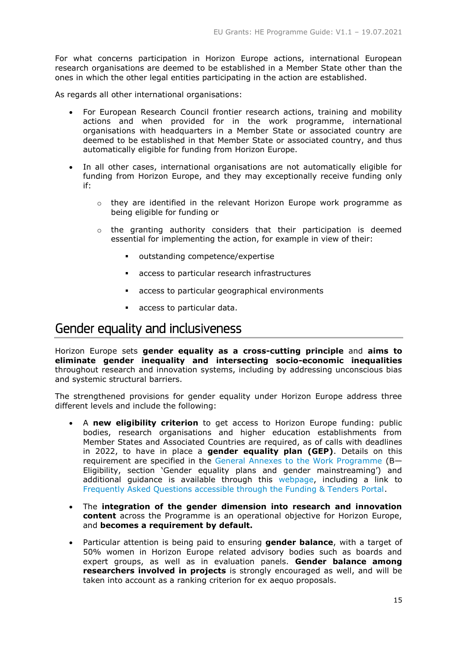For what concerns participation in Horizon Europe actions, international European research organisations are deemed to be established in a Member State other than the ones in which the other legal entities participating in the action are established.

As regards all other international organisations:

- For European Research Council frontier research actions, training and mobility actions and when provided for in the work programme, international organisations with headquarters in a Member State or associated country are deemed to be established in that Member State or associated country, and thus automatically eligible for funding from Horizon Europe.
- In all other cases, international organisations are not automatically eligible for funding from Horizon Europe, and they may exceptionally receive funding only if:
	- $\circ$  they are identified in the relevant Horizon Europe work programme as being eligible for funding or
	- o the granting authority considers that their participation is deemed essential for implementing the action, for example in view of their:
		- outstanding competence/expertise
		- access to particular research infrastructures
		- access to particular geographical environments
		- access to particular data.

# <span id="page-14-0"></span>Gender equality and inclusiveness

Horizon Europe sets **gender equality as a cross-cutting principle** and **aims to eliminate gender inequality and intersecting socio-economic inequalities** throughout research and innovation systems, including by addressing unconscious bias and systemic structural barriers.

The strengthened provisions for gender equality under Horizon Europe address three different levels and include the following:

- A **new eligibility criterion** to get access to Horizon Europe funding: public bodies, research organisations and higher education establishments from Member States and Associated Countries are required, as of calls with deadlines in 2022, to have in place a **gender equality plan (GEP)**. Details on this requirement are specified in the General Annexes to [the Work Programme](https://ec.europa.eu/info/funding-tenders/opportunities/docs/2021-2027/horizon/wp-call/2021-2022/wp-13-general-annexes_horizon-2021-2022_en.pdf) (B— Eligibility, section 'Gender equality plans and gender mainstreaming') and additional guidance is available through this [webpage,](https://ec.europa.eu/info/research-and-innovation/strategy/strategy-2020-2024/democracy-and-citizens-rights/gender-equality-research-and-innovation_en#gender-equality-plans-as-an-eligibility-criterion-in-horizon-europe) including a link to [Frequently Asked Questions accessible through the Funding & Tenders Portal.](https://ec.europa.eu/info/funding-tenders/opportunities/portal/screen/support/faq;grantAndTendertype=1;categories=;programme=HORIZON;actions=;keyword=GEP;period=null)
- The **integration of the gender dimension into research and innovation content** across the Programme is an operational objective for Horizon Europe, and **becomes a requirement by default.**
- Particular attention is being paid to ensuring **gender balance**, with a target of 50% women in Horizon Europe related advisory bodies such as boards and expert groups, as well as in evaluation panels. **Gender balance among researchers involved in projects** is strongly encouraged as well, and will be taken into account as a ranking criterion for ex aequo proposals.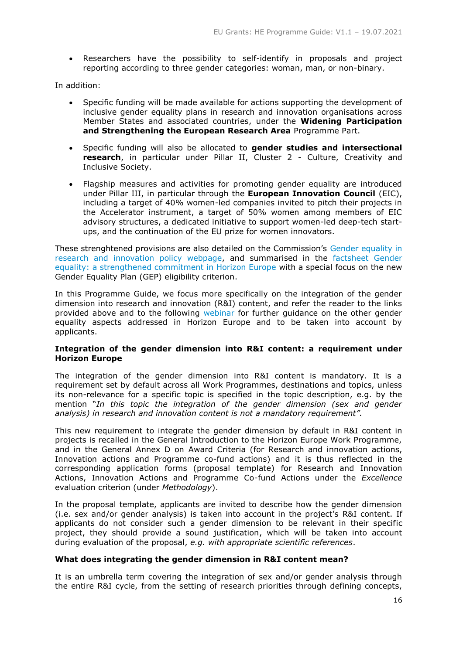Researchers have the possibility to self-identify in proposals and project reporting according to three gender categories: woman, man, or non-binary.

In addition:

- Specific funding will be made available for actions supporting the development of inclusive gender equality plans in research and innovation organisations across Member States and associated countries, under the **Widening Participation and Strengthening the European Research Area** Programme Part.
- Specific funding will also be allocated to **gender studies and intersectional research**, in particular under Pillar II, Cluster 2 - Culture, Creativity and Inclusive Society.
- Flagship measures and activities for promoting gender equality are introduced under Pillar III, in particular through the **European Innovation Council** (EIC), including a target of 40% women-led companies invited to pitch their projects in the Accelerator instrument, a target of 50% women among members of EIC advisory structures, a dedicated initiative to support women-led deep-tech startups, and the continuation of the EU prize for women innovators.

These strenghtened provisions are also detailed on the Commission's [Gender equality in](https://ec.europa.eu/info/research-and-innovation/strategy/strategy-2020-2024/democracy-and-citizens-rights/gender-equality-research-and-innovation_en#gender-equality-in-horizon-europe)  [research and innovation policy webpage,](https://ec.europa.eu/info/research-and-innovation/strategy/strategy-2020-2024/democracy-and-citizens-rights/gender-equality-research-and-innovation_en#gender-equality-in-horizon-europe) and summarised in the [factsheet Gender](https://ec.europa.eu/info/files/gender-equality-strengthened-commitment-horizon-europe_en)  [equality: a strengthened commitment in Horizon Europe](https://ec.europa.eu/info/files/gender-equality-strengthened-commitment-horizon-europe_en) with a special focus on the new Gender Equality Plan (GEP) eligibility criterion.

In this Programme Guide, we focus more specifically on the integration of the gender dimension into research and innovation (R&I) content, and refer the reader to the links provided above and to the following [webinar](https://ec.europa.eu/research/participants/docs/h2020-funding-guide/other/event210421.htm) for further guidance on the other gender equality aspects addressed in Horizon Europe and to be taken into account by applicants.

# **Integration of the gender dimension into R&I content: a requirement under Horizon Europe**

The integration of the gender dimension into R&I content is mandatory. It is a requirement set by default across all Work Programmes, destinations and topics, unless its non-relevance for a specific topic is specified in the topic description, e.g. by the mention "*In this topic the integration of the gender dimension (sex and gender analysis) in research and innovation content is not a mandatory requirement".*

This new requirement to integrate the gender dimension by default in R&I content in projects is recalled in the General Introduction to the Horizon Europe Work Programme, and in the General Annex D on Award Criteria (for Research and innovation actions, Innovation actions and Programme co-fund actions) and it is thus reflected in the corresponding application forms (proposal template) for Research and Innovation Actions, Innovation Actions and Programme Co-fund Actions under the *Excellence* evaluation criterion (under *Methodology*).

In the proposal template, applicants are invited to describe how the gender dimension (i.e. sex and/or gender analysis) is taken into account in the project's R&I content. If applicants do not consider such a gender dimension to be relevant in their specific project, they should provide a sound justification, which will be taken into account during evaluation of the proposal, *e.g. with appropriate scientific references*.

# **What does integrating the gender dimension in R&I content mean?**

It is an umbrella term covering the integration of sex and/or gender analysis through the entire R&I cycle, from the setting of research priorities through defining concepts,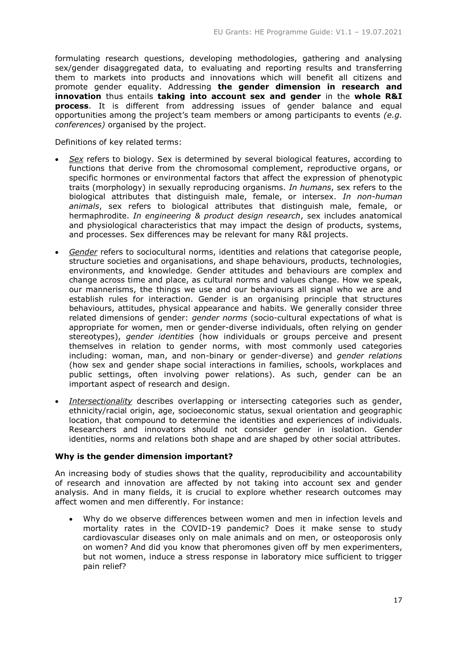formulating research questions, developing methodologies, gathering and analysing sex/gender disaggregated data, to evaluating and reporting results and transferring them to markets into products and innovations which will benefit all citizens and promote gender equality. Addressing **the gender dimension in research and innovation** thus entails **taking into account sex and gender** in the **whole R&I process**. It is different from addressing issues of gender balance and equal opportunities among the project's team members or among participants to events *(e.g. conferences)* organised by the project.

Definitions of key related terms:

- *Sex* refers to biology. Sex is determined by several biological features, according to functions that derive from the chromosomal complement, reproductive organs, or specific hormones or environmental factors that affect the expression of phenotypic traits (morphology) in sexually reproducing organisms. *In humans*, sex refers to the biological attributes that distinguish male, female, or intersex. *In non-human animals*, sex refers to biological attributes that distinguish male, female, or hermaphrodite. *In engineering & product design research*, sex includes anatomical and physiological characteristics that may impact the design of products, systems, and processes. Sex differences may be relevant for many R&I projects.
- *Gender* refers to sociocultural norms, identities and relations that categorise people, structure societies and organisations, and shape behaviours, products, technologies, environments, and knowledge. Gender attitudes and behaviours are complex and change across time and place, as cultural norms and values change. How we speak, our mannerisms, the things we use and our behaviours all signal who we are and establish rules for interaction. Gender is an organising principle that structures behaviours, attitudes, physical appearance and habits. We generally consider three related dimensions of gender: *gender norms* (socio-cultural expectations of what is appropriate for women, men or gender-diverse individuals, often relying on gender stereotypes), *gender identities* (how individuals or groups perceive and present themselves in relation to gender norms, with most commonly used categories including: woman, man, and non-binary or gender-diverse) and *gender relations* (how sex and gender shape social interactions in families, schools, workplaces and public settings, often involving power relations). As such, gender can be an important aspect of research and design.
- *Intersectionality* describes overlapping or intersecting categories such as gender, ethnicity/racial origin, age, socioeconomic status, sexual orientation and geographic location, that compound to determine the identities and experiences of individuals. Researchers and innovators should not consider gender in isolation. Gender identities, norms and relations both shape and are shaped by other social attributes.

# **Why is the gender dimension important?**

An increasing body of studies shows that the quality, reproducibility and accountability of research and innovation are affected by not taking into account sex and gender analysis. And in many fields, it is crucial to explore whether research outcomes may affect women and men differently. For instance:

 Why do we observe differences between women and men in infection levels and mortality rates in the COVID-19 pandemic? Does it make sense to study cardiovascular diseases only on male animals and on men, or osteoporosis only on women? And did you know that pheromones given off by men experimenters, but not women, induce a stress response in laboratory mice sufficient to trigger pain relief?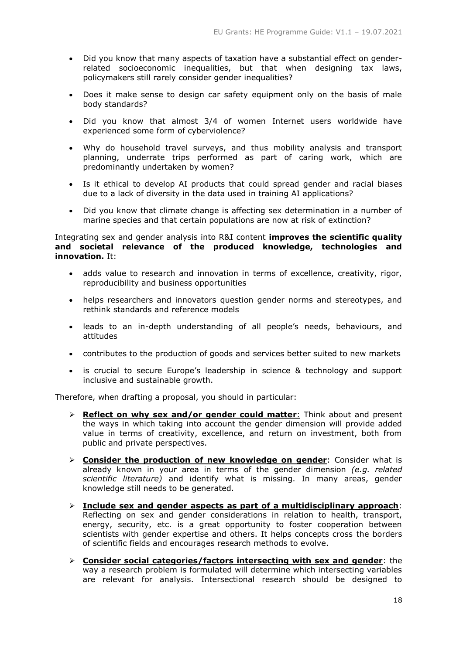- Did you know that many aspects of taxation have a substantial effect on genderrelated socioeconomic inequalities, but that when designing tax laws, policymakers still rarely consider gender inequalities?
- Does it make sense to design car safety equipment only on the basis of male body standards?
- Did you know that almost 3/4 of women Internet users worldwide have experienced some form of cyberviolence?
- Why do household travel surveys, and thus mobility analysis and transport planning, underrate trips performed as part of caring work, which are predominantly undertaken by women?
- Is it ethical to develop AI products that could spread gender and racial biases due to a lack of diversity in the data used in training AI applications?
- Did you know that climate change is affecting sex determination in a number of marine species and that certain populations are now at risk of extinction?

Integrating sex and gender analysis into R&I content **improves the scientific quality and societal relevance of the produced knowledge, technologies and innovation.** It:

- adds value to research and innovation in terms of excellence, creativity, rigor, reproducibility and business opportunities
- helps researchers and innovators question gender norms and stereotypes, and rethink standards and reference models
- leads to an in-depth understanding of all people's needs, behaviours, and attitudes
- contributes to the production of goods and services better suited to new markets
- is crucial to secure Europe's leadership in science & technology and support inclusive and sustainable growth.

Therefore, when drafting a proposal, you should in particular:

- **Reflect on why sex and/or gender could matter**: Think about and present the ways in which taking into account the gender dimension will provide added value in terms of creativity, excellence, and return on investment, both from public and private perspectives.
- **Consider the production of new knowledge on gender**: Consider what is already known in your area in terms of the gender dimension *(e.g. related scientific literature)* and identify what is missing. In many areas, gender knowledge still needs to be generated.
- **Include sex and gender aspects as part of a multidisciplinary approach**: Reflecting on sex and gender considerations in relation to health, transport, energy, security, etc. is a great opportunity to foster cooperation between scientists with gender expertise and others. It helps concepts cross the borders of scientific fields and encourages research methods to evolve.
- **Consider social categories/factors intersecting with sex and gender**: the way a research problem is formulated will determine which intersecting variables are relevant for analysis. Intersectional research should be designed to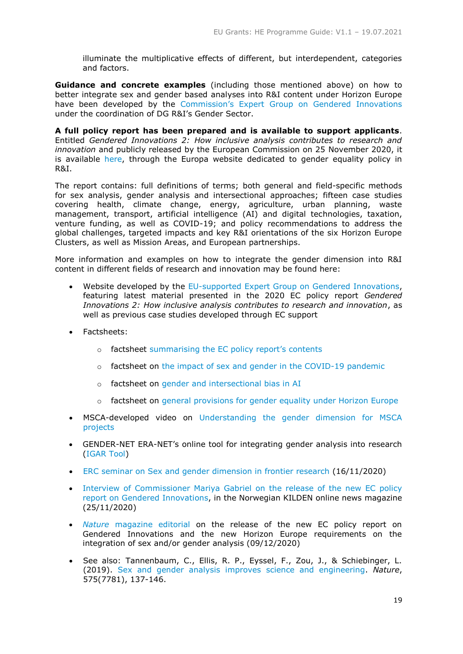illuminate the multiplicative effects of different, but interdependent, categories and factors.

**Guidance and concrete examples** (including those mentioned above) on how to better integrate sex and gender based analyses into R&I content under Horizon Europe have been developed by the [Commission's Expert Group on Gendered Innovations](https://ec.europa.eu/transparency/regexpert/index.cfm?do=groupDetail.groupDetail&groupID=3601) under the coordination of DG R&I's Gender Sector.

**A full policy report has been prepared and is available to support applicants**. Entitled *Gendered Innovations 2: How inclusive analysis contributes to research and innovation* and publicly released by the European Commission on 25 November 2020, it is available [here,](https://ec.europa.eu/info/news/gendered-innovations-2-2020-nov-24_en) through the Europa website dedicated to gender equality policy in R&I.

The report contains: full definitions of terms; both general and field-specific methods for sex analysis, gender analysis and intersectional approaches; fifteen case studies covering health, climate change, energy, agriculture, urban planning, waste management, transport, artificial intelligence (AI) and digital technologies, taxation, venture funding, as well as COVID-19; and policy recommendations to address the global challenges, targeted impacts and key R&I orientations of the six Horizon Europe Clusters, as well as Mission Areas, and European partnerships.

More information and examples on how to integrate the gender dimension into R&I content in different fields of research and innovation may be found here:

- Website developed by the [EU-supported Expert Group on Gendered Innovations,](http://genderedinnovations.stanford.edu/index.html) featuring latest material presented in the 2020 EC policy report *Gendered Innovations 2: How inclusive analysis contributes to research and innovation*, as well as previous case studies developed through EC support
- Factsheets:
	- o factsheet [summarising the EC policy report's contents](https://op.europa.eu/en/publication-detail/-/publication/667d9e3e-2e03-11eb-b27b-01aa75ed71a1/language-en)
	- $\circ$  factsheet on [the impact of sex and gender in the COVID-19 pandemic](https://ec.europa.eu/info/sites/info/files/research_and_innovation/research_by_area/documents/ec_rtd_covid19-gender-equality_factsheet.pdf)
	- o factsheet on [gender and intersectional bias in AI](https://ec.europa.eu/info/sites/info/files/research_and_innovation/research_by_area/documents/ec_rtd_gender-bias-in-ai-factsheet.pdf)
	- o factsheet on [general provisions for gender equality under Horizon Europe](https://op.europa.eu/en/web/eu-law-and-publications/publication-detail/-/publication/c0b30b4b-6ce2-11eb-aeb5-01aa75ed71a1)
- MSCA-developed video on [Understanding the gender dimension for MSCA](https://youtu.be/Hq4eWo30RfY)  [projects](https://youtu.be/Hq4eWo30RfY)
- GENDER-NET ERA-NET's online tool for integrating gender analysis into research [\(IGAR Tool\)](http://igar-tool.gender-net.eu/en)
- [ERC seminar on Sex and gender dimension in frontier research](https://erc.europa.eu/event/sex-and-gender-dimension-frontier-research) (16/11/2020)
- [Interview of Commissioner Mariya Gabriel on the release of the new EC policy](http://kjonnsforskning.no/en/2020/11/seeking-more-european-research-integrates-gender-dimensions)  [report on Gendered Innovations,](http://kjonnsforskning.no/en/2020/11/seeking-more-european-research-integrates-gender-dimensions) in the Norwegian KILDEN online news magazine (25/11/2020)
- *Nature* [magazine editorial](https://www.nature.com/articles/d41586-020-03459-y) on the release of the new EC policy report on Gendered Innovations and the new Horizon Europe requirements on the integration of sex and/or gender analysis (09/12/2020)
- See also: Tannenbaum, C., Ellis, R. P., Eyssel, F., Zou, J., & Schiebinger, L. (2019). [Sex and gender analysis improves science and engineering.](https://doi.org/10.1038/s41586-019-1657-6) *Nature*, 575(7781), 137-146.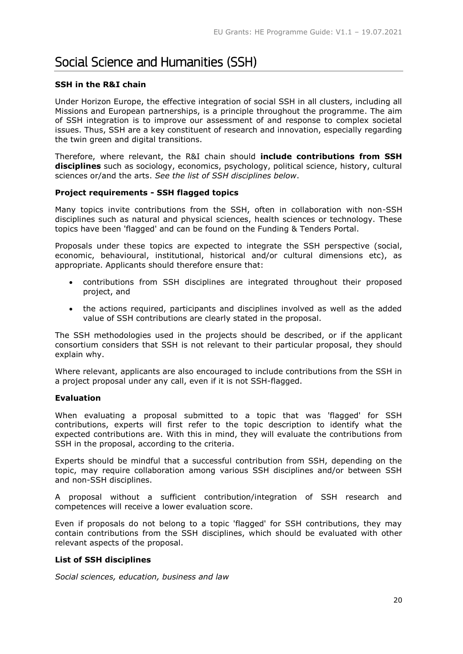# <span id="page-19-0"></span>Social Science and Humanities (SSH)

# **SSH in the R&I chain**

Under Horizon Europe, the effective integration of social SSH in all clusters, including all Missions and European partnerships, is a principle throughout the programme. The aim of SSH integration is to improve our assessment of and response to complex societal issues. Thus, SSH are a key constituent of research and innovation, especially regarding the twin green and digital transitions.

Therefore, where relevant, the R&I chain should **include contributions from SSH disciplines** such as sociology, economics, psychology, political science, history, cultural sciences or/and the arts. *See the list of SSH disciplines below*.

# **Project requirements - SSH flagged topics**

Many topics invite contributions from the SSH, often in collaboration with non-SSH disciplines such as natural and physical sciences, health sciences or technology. These topics have been 'flagged' and can be found on the Funding & Tenders Portal.

Proposals under these topics are expected to integrate the SSH perspective (social, economic, behavioural, institutional, historical and/or cultural dimensions etc), as appropriate. Applicants should therefore ensure that:

- contributions from SSH disciplines are integrated throughout their proposed project, and
- the actions required, participants and disciplines involved as well as the added value of SSH contributions are clearly stated in the proposal.

The SSH methodologies used in the projects should be described, or if the applicant consortium considers that SSH is not relevant to their particular proposal, they should explain why.

Where relevant, applicants are also encouraged to include contributions from the SSH in a project proposal under any call, even if it is not SSH-flagged.

# **Evaluation**

When evaluating a proposal submitted to a topic that was 'flagged' for SSH contributions, experts will first refer to the topic description to identify what the expected contributions are. With this in mind, they will evaluate the contributions from SSH in the proposal, according to the criteria.

Experts should be mindful that a successful contribution from SSH, depending on the topic, may require collaboration among various SSH disciplines and/or between SSH and non-SSH disciplines.

A proposal without a sufficient contribution/integration of SSH research and competences will receive a lower evaluation score.

Even if proposals do not belong to a topic 'flagged' for SSH contributions, they may contain contributions from the SSH disciplines, which should be evaluated with other relevant aspects of the proposal.

# **List of SSH disciplines**

*Social sciences, education, business and law*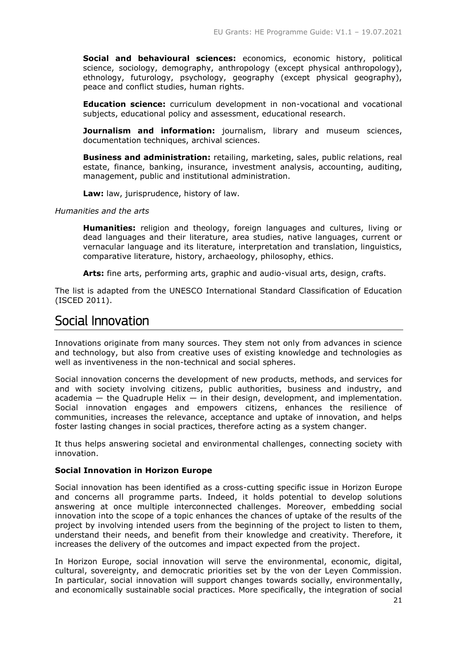**Social and behavioural sciences:** economics, economic history, political science, sociology, demography, anthropology (except physical anthropology), ethnology, futurology, psychology, geography (except physical geography), peace and conflict studies, human rights.

**Education science:** curriculum development in non-vocational and vocational subjects, educational policy and assessment, educational research.

**Journalism and information:** journalism, library and museum sciences, documentation techniques, archival sciences.

**Business and administration:** retailing, marketing, sales, public relations, real estate, finance, banking, insurance, investment analysis, accounting, auditing, management, public and institutional administration.

**Law:** law, jurisprudence, history of law.

# *Humanities and the arts*

**Humanities:** religion and theology, foreign languages and cultures, living or dead languages and their literature, area studies, native languages, current or vernacular language and its literature, interpretation and translation, linguistics, comparative literature, history, archaeology, philosophy, ethics.

**Arts:** fine arts, performing arts, graphic and audio-visual arts, design, crafts.

The list is adapted from the UNESCO International Standard Classification of Education (ISCED 2011).

# <span id="page-20-0"></span>Social Innovation

Innovations originate from many sources. They stem not only from advances in science and technology, but also from creative uses of existing knowledge and technologies as well as inventiveness in the non-technical and social spheres.

Social innovation concerns the development of new products, methods, and services for and with society involving citizens, public authorities, business and industry, and academia  $-$  the Quadruple Helix  $-$  in their design, development, and implementation. Social innovation engages and empowers citizens, enhances the resilience of communities, increases the relevance, acceptance and uptake of innovation, and helps foster lasting changes in social practices, therefore acting as a system changer.

It thus helps answering societal and environmental challenges, connecting society with innovation.

# **Social Innovation in Horizon Europe**

Social innovation has been identified as a cross-cutting specific issue in Horizon Europe and concerns all programme parts. Indeed, it holds potential to develop solutions answering at once multiple interconnected challenges. Moreover, embedding social innovation into the scope of a topic enhances the chances of uptake of the results of the project by involving intended users from the beginning of the project to listen to them, understand their needs, and benefit from their knowledge and creativity. Therefore, it increases the delivery of the outcomes and impact expected from the project.

In Horizon Europe, social innovation will serve the environmental, economic, digital, cultural, sovereignty, and democratic priorities set by the von der Leyen Commission. In particular, social innovation will support changes towards socially, environmentally, and economically sustainable social practices. More specifically, the integration of social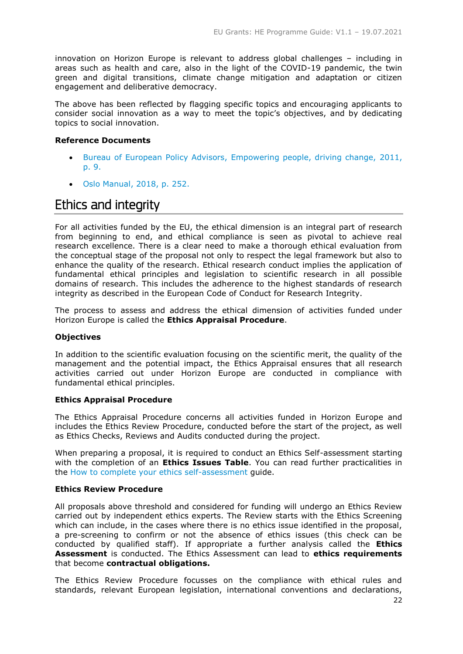innovation on Horizon Europe is relevant to address global challenges – including in areas such as health and care, also in the light of the COVID-19 pandemic, the twin green and digital transitions, climate change mitigation and adaptation or citizen engagement and deliberative democracy.

The above has been reflected by flagging specific topics and encouraging applicants to consider social innovation as a way to meet the topic's objectives, and by dedicating topics to social innovation.

# **Reference Documents**

- Bureau of European Policy Advisors, [Empowering people, driving change,](https://publications.europa.eu/en/publication-detail/-/publication/4e23d6b8-5c0c-4d38-bd9d-3a202e6f1e81/language-en/format-PDF/source-31731269) 2011, [p. 9.](https://publications.europa.eu/en/publication-detail/-/publication/4e23d6b8-5c0c-4d38-bd9d-3a202e6f1e81/language-en/format-PDF/source-31731269)
- [Oslo Manual, 2018, p.](https://www.oecd-ilibrary.org/docserver/9789264304604-en.pdf?expires=1581524100&id=id&accname=oid031827&checksum=D9FCFCADB799B4BD68575DAD1AC6CD00) 252.

# <span id="page-21-0"></span>Ethics and integrity

For all activities funded by the EU, the ethical dimension is an integral part of research from beginning to end, and ethical compliance is seen as pivotal to achieve real research excellence. There is a clear need to make a thorough ethical evaluation from the conceptual stage of the proposal not only to respect the legal framework but also to enhance the quality of the research. Ethical research conduct implies the application of fundamental ethical principles and legislation to scientific research in all possible domains of research. This includes the adherence to the highest standards of research integrity as described in the European Code of Conduct for Research Integrity.

The process to assess and address the ethical dimension of activities funded under Horizon Europe is called the **Ethics Appraisal Procedure**.

# **Objectives**

In addition to the scientific evaluation focusing on the scientific merit, the quality of the management and the potential impact, the Ethics Appraisal ensures that all research activities carried out under Horizon Europe are conducted in compliance with fundamental ethical principles.

# **Ethics Appraisal Procedure**

The Ethics Appraisal Procedure concerns all activities funded in Horizon Europe and includes the Ethics Review Procedure, conducted before the start of the project, as well as Ethics Checks, Reviews and Audits conducted during the project.

When preparing a proposal, it is required to conduct an Ethics Self-assessment starting with the completion of an **Ethics Issues Table**. You can read further practicalities in the [How to complete your ethics self-assessment](https://ec.europa.eu/info/funding-tenders/opportunities/docs/2021-2027/common/guidance/how-to-complete-your-ethics-self-assessment_en.pdf) guide.

# **Ethics Review Procedure**

All proposals above threshold and considered for funding will undergo an Ethics Review carried out by independent ethics experts. The Review starts with the Ethics Screening which can include, in the cases where there is no ethics issue identified in the proposal, a pre-screening to confirm or not the absence of ethics issues (this check can be conducted by qualified staff). If appropriate a further analysis called the **Ethics Assessment** is conducted. The Ethics Assessment can lead to **ethics requirements**  that become **contractual obligations.**

The Ethics Review Procedure focusses on the compliance with ethical rules and standards, relevant European legislation, international conventions and declarations,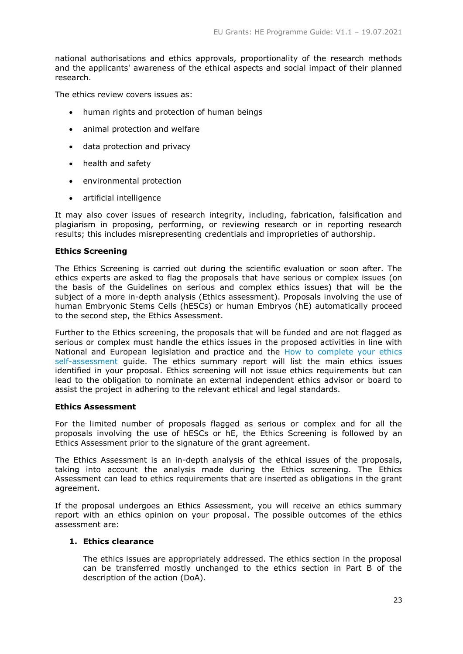national authorisations and ethics approvals, proportionality of the research methods and the applicants' awareness of the ethical aspects and social impact of their planned research.

The ethics review covers issues as:

- human rights and protection of human beings
- animal protection and welfare
- data protection and privacy
- health and safety
- environmental protection
- artificial intelligence

It may also cover issues of research integrity, including, fabrication, falsification and plagiarism in proposing, performing, or reviewing research or in reporting research results; this includes misrepresenting credentials and improprieties of authorship.

# **Ethics Screening**

The Ethics Screening is carried out during the scientific evaluation or soon after. The ethics experts are asked to flag the proposals that have serious or complex issues (on the basis of the Guidelines on serious and complex ethics issues) that will be the subject of a more in-depth analysis (Ethics assessment). Proposals involving the use of human Embryonic Stems Cells (hESCs) or human Embryos (hE) automatically proceed to the second step, the Ethics Assessment.

Further to the Ethics screening, the proposals that will be funded and are not flagged as serious or complex must handle the ethics issues in the proposed activities in line with National and European legislation and practice and the [How to complete your ethics](https://ec.europa.eu/info/funding-tenders/opportunities/docs/2021-2027/common/guidance/how-to-complete-your-ethics-self-assessment_en.pdf)  [self-assessment](https://ec.europa.eu/info/funding-tenders/opportunities/docs/2021-2027/common/guidance/how-to-complete-your-ethics-self-assessment_en.pdf) guide. The ethics summary report will list the main ethics issues identified in your proposal. Ethics screening will not issue ethics requirements but can lead to the obligation to nominate an external independent ethics advisor or board to assist the project in adhering to the relevant ethical and legal standards.

# **Ethics Assessment**

For the limited number of proposals flagged as serious or complex and for all the proposals involving the use of hESCs or hE, the Ethics Screening is followed by an Ethics Assessment prior to the signature of the grant agreement.

The Ethics Assessment is an in-depth analysis of the ethical issues of the proposals, taking into account the analysis made during the Ethics screening. The Ethics Assessment can lead to ethics requirements that are inserted as obligations in the grant agreement.

If the proposal undergoes an Ethics Assessment, you will receive an ethics summary report with an ethics opinion on your proposal. The possible outcomes of the ethics assessment are:

# **1. Ethics clearance**

The ethics issues are appropriately addressed. The ethics section in the proposal can be transferred mostly unchanged to the ethics section in Part B of the description of the action (DoA).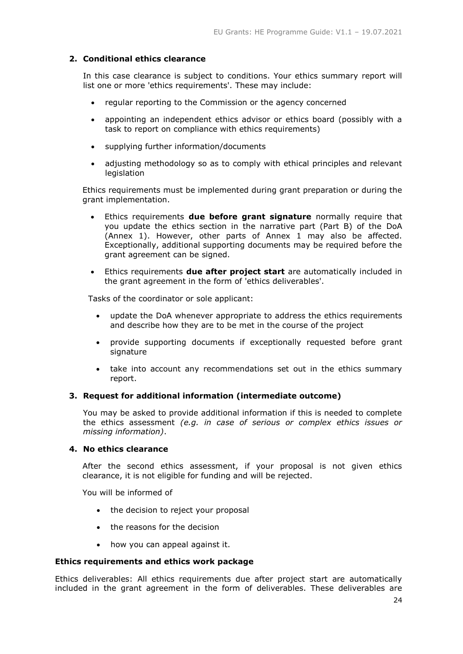# **2. Conditional ethics clearance**

In this case clearance is subject to conditions. Your ethics summary report will list one or more 'ethics requirements'. These may include:

- regular reporting to the Commission or the agency concerned
- appointing an independent ethics advisor or ethics board (possibly with a task to report on compliance with ethics requirements)
- supplying further information/documents
- adjusting methodology so as to comply with ethical principles and relevant legislation

Ethics requirements must be implemented during grant preparation or during the grant implementation.

- Ethics requirements **due before grant signature** normally require that you update the ethics section in the narrative part (Part B) of the DoA (Annex 1). However, other parts of Annex 1 may also be affected. Exceptionally, additional supporting documents may be required before the grant agreement can be signed.
- Ethics requirements **due after project start** are automatically included in the grant agreement in the form of 'ethics deliverables'.

Tasks of the coordinator or sole applicant:

- update the DoA whenever appropriate to address the ethics requirements and describe how they are to be met in the course of the project
- provide supporting documents if exceptionally requested before grant signature
- take into account any recommendations set out in the ethics summary report.

# **3. Request for additional information (intermediate outcome)**

You may be asked to provide additional information if this is needed to complete the ethics assessment *(e.g. in case of serious or complex ethics issues or missing information)*.

# **4. No ethics clearance**

After the second ethics assessment, if your proposal is not given ethics clearance, it is not eligible for funding and will be rejected.

You will be informed of

- the decision to reject your proposal
- the reasons for the decision
- how you can appeal against it.

# **Ethics requirements and ethics work package**

Ethics deliverables: All ethics requirements due after project start are automatically included in the grant agreement in the form of deliverables. These deliverables are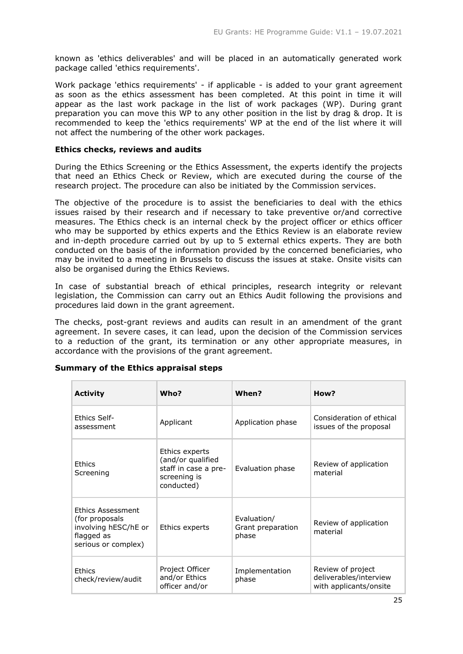known as 'ethics deliverables' and will be placed in an automatically generated work package called 'ethics requirements'.

Work package 'ethics requirements' - if applicable - is added to your grant agreement as soon as the ethics assessment has been completed. At this point in time it will appear as the last work package in the list of work packages (WP). During grant preparation you can move this WP to any other position in the list by drag & drop. It is recommended to keep the 'ethics requirements' WP at the end of the list where it will not affect the numbering of the other work packages.

# **Ethics checks, reviews and audits**

During the Ethics Screening or the Ethics Assessment, the experts identify the projects that need an Ethics Check or Review, which are executed during the course of the research project. The procedure can also be initiated by the Commission services.

The objective of the procedure is to assist the beneficiaries to deal with the ethics issues raised by their research and if necessary to take preventive or/and corrective measures. The Ethics check is an internal check by the project officer or ethics officer who may be supported by ethics experts and the Ethics Review is an elaborate review and in-depth procedure carried out by up to 5 external ethics experts. They are both conducted on the basis of the information provided by the concerned beneficiaries, who may be invited to a meeting in Brussels to discuss the issues at stake. Onsite visits can also be organised during the Ethics Reviews.

In case of substantial breach of ethical principles, research integrity or relevant legislation, the Commission can carry out an Ethics Audit following the provisions and procedures laid down in the grant agreement.

The checks, post-grant reviews and audits can result in an amendment of the grant agreement. In severe cases, it can lead, upon the decision of the Commission services to a reduction of the grant, its termination or any other appropriate measures, in accordance with the provisions of the grant agreement.

| <b>Activity</b>                                                                                          | Who?                                                                                      | When?                                     | How?                                                                  |
|----------------------------------------------------------------------------------------------------------|-------------------------------------------------------------------------------------------|-------------------------------------------|-----------------------------------------------------------------------|
| Ethics Self-<br>assessment                                                                               | Applicant                                                                                 | Application phase                         | Consideration of ethical<br>issues of the proposal                    |
| <b>Fthics</b><br>Screening                                                                               | Ethics experts<br>(and/or qualified<br>staff in case a pre-<br>screening is<br>conducted) | Evaluation phase                          | Review of application<br>material                                     |
| <b>Ethics Assessment</b><br>(for proposals)<br>involving hESC/hE or<br>flagged as<br>serious or complex) | Ethics experts                                                                            | Evaluation/<br>Grant preparation<br>phase | Review of application<br>material                                     |
| <b>Ethics</b><br>check/review/audit                                                                      | Project Officer<br>and/or Ethics<br>officer and/or                                        | Implementation<br>phase                   | Review of project<br>deliverables/interview<br>with applicants/onsite |

# **Summary of the Ethics appraisal steps**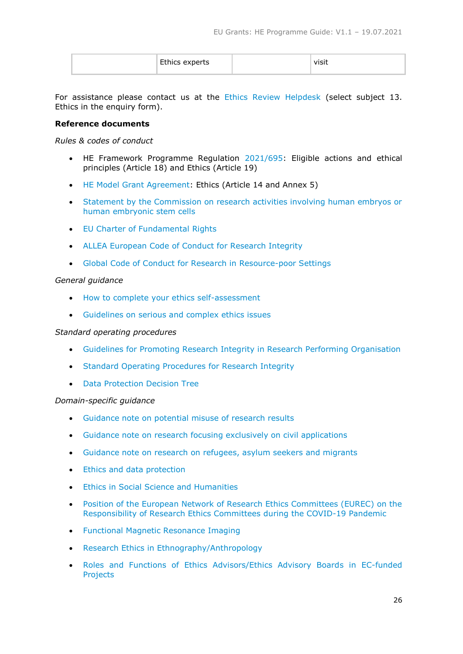| ມຕະເລ<br>՟՟՟՟՟՟՟՟՟՟՟ | טוכו |  |
|----------------------|------|--|
|----------------------|------|--|

For assistance please contact us at the [Ethics Review Helpdesk](https://ec.europa.eu/info/research-and-innovation/contact/research-enquiry-service-and-participant-validation_en) (select subject 13. Ethics in the enquiry form).

# **Reference documents**

*Rules & codes of conduct*

- HE Framework Programme Regulation [2021/695:](https://eur-lex.europa.eu/legal-content/EN/ALL/?uri=CELEX:32021R0695) Eligible actions and ethical principles (Article 18) and Ethics (Article 19)
- [HE Model Grant Agreement:](https://ec.europa.eu/info/funding-tenders/opportunities/docs/2021-2027/common/agr-contr/general-mga_horizon-euratom_en.pdf) Ethics (Article 14 and Annex 5)
- [Statement by the Commission on research activities involving human embryos or](https://eur-lex.europa.eu/legal-content/EN/TXT/PDF/?uri=CELEX:32021C0512(01)&qid=1622740780199&from=EN)  [human embryonic stem cells](https://eur-lex.europa.eu/legal-content/EN/TXT/PDF/?uri=CELEX:32021C0512(01)&qid=1622740780199&from=EN)
- [EU Charter of Fundamental Rights](https://eur-lex.europa.eu/LexUriServ/LexUriServ.do?uri=OJ:C:2010:083:0389:0403:en:PDF)
- [ALLEA European Code of Conduct for Research Integrity](https://ec.europa.eu/info/funding-tenders/opportunities/docs/2021-2027/horizon/guidance/european-code-of-conduct-for-research-integrity_horizon_en.pdf)
- [Global Code of Conduct for Research in Resource-poor Settings](https://ec.europa.eu/info/funding-tenders/opportunities/docs/2021-2027/horizon/guidance/global-code-of-conduct-for-research-in-resource-poor-settings_he_en.pdf)

# *General guidance*

- [How to complete your ethics self-assessment](https://ec.europa.eu/info/funding-tenders/opportunities/docs/2021-2027/common/guidance/how-to-complete-your-ethics-self-assessment_en.pdf)
- [Guidelines on serious and complex ethics issues](https://ec.europa.eu/info/funding-tenders/opportunities/docs/2021-2027/horizon/guidance/guidelines-on-serious-and-complex-cases_he_en.pdf)

# *Standard operating procedures*

- Guidelines [for Promoting Research Integrity in Research Performing Organisation](https://ec.europa.eu/info/funding-tenders/opportunities/docs/2021-2027/horizon/guidance/guideline-for-promoting-research-integrity-in-research-performing-organisations_horizon_en.pdf)
- [Standard Operating Procedures for Research Integrity](https://www.sops4ri.eu/)
- [Data Protection Decision Tree](https://ec.europa.eu/assets/rtd/ethics-data-protection-decision-tree/index.html)

# *Domain-specific guidance*

- [Guidance note on potential misuse of research results](https://ec.europa.eu/info/funding-tenders/opportunities/docs/2021-2027/horizon/guidance/guidance-note-potential-misuse-of-research-results_he_en.pdf)
- [Guidance note on research focusing exclusively on civil applications](https://ec.europa.eu/info/funding-tenders/opportunities/docs/2021-2027/horizon/guidance/guidance-note-research-focusing-exclusively-on-civil-applications_he_en.pdf)
- [Guidance note on research on refugees, asylum seekers and](https://ec.europa.eu/info/funding-tenders/opportunities/docs/2021-2027/horizon/guidance/guidance-note-research-on-refugees-asylum-seekers-migrants_he_en.pdf) migrants
- [Ethics and data protection](https://ec.europa.eu/info/funding-tenders/opportunities/docs/2021-2027/horizon/guidance/ethics-and-data-protection_he_en.pdf)
- **•** [Ethics in Social Science and Humanities](https://ec.europa.eu/info/funding-tenders/opportunities/docs/2021-2027/horizon/guidance/ethics-in-social-science-and-humanities_he_en.pdf)
- [Position of the European Network of Research Ethics Committees \(EUREC\) on the](http://www.eurecnet.org/documents/Position_EUREC_COVID_19.pdf)  [Responsibility of Research Ethics Committees](http://www.eurecnet.org/documents/Position_EUREC_COVID_19.pdf) during the COVID-19 Pandemic
- [Functional Magnetic Resonance Imaging](https://ec.europa.eu/info/funding-tenders/opportunities/docs/2021-2027/horizon/guidance/functional-magnetic-resonance-imaging_he_en.pdf)
- [Research Ethics in Ethnography/Anthropology](https://ec.europa.eu/info/funding-tenders/opportunities/docs/2021-2027/horizon/guidance/research-ethics-in-ethnography-anthropology_he_en.pdf)
- [Roles and Functions of Ethics Advisors/Ethics Advisory Boards in EC-funded](https://ec.europa.eu/info/funding-tenders/opportunities/docs/2021-2027/horizon/guidance/roles-and-functions-of-ethics-advisory-ethics-advisory-boards-in-ec-funded-projects_he_en.pdf)  [Projects](https://ec.europa.eu/info/funding-tenders/opportunities/docs/2021-2027/horizon/guidance/roles-and-functions-of-ethics-advisory-ethics-advisory-boards-in-ec-funded-projects_he_en.pdf)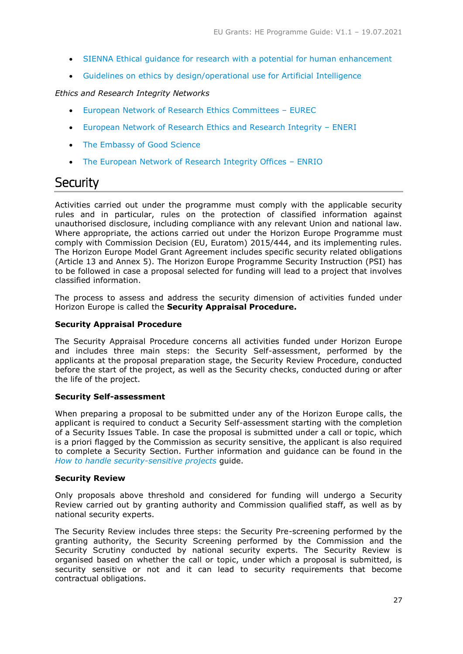- [SIENNA Ethical guidance for research with a potential for human enhancement](https://ec.europa.eu/info/funding-tenders/opportunities/docs/2021-2027/horizon/guidance/ethical-guidance-for-research-with-a-potential-for-human-enhancement-sienna_he_en.pdf)
- [Guidelines on ethics by design/operational use for Artificial Intelligence](https://ec.europa.eu/info/funding-tenders/opportunities/docs/2021-2027/horizon/guidance/ethics-by-design-and-ethics-of-use-approaches-for-artificial-intelligence_he_en.pdf)

# *Ethics and Research Integrity Networks*

- [European Network of Research Ethics Committees](http://www.eurecnet.org/index.html)  EUREC
- [European Network of Research Ethics and Research Integrity](http://eneri.eu/)  ENERI
- [The Embassy of Good Science](https://www.embassy.science/)
- [The European Network of Research Integrity Offices](http://www.enrio.eu/)  ENRIO

# <span id="page-26-0"></span>**Security**

Activities carried out under the programme must comply with the applicable security rules and in particular, rules on the protection of classified information against unauthorised disclosure, including compliance with any relevant Union and national law. Where appropriate, the actions carried out under the Horizon Europe Programme must comply with Commission Decision (EU, Euratom) 2015/444, and its implementing rules. The Horizon Europe Model Grant Agreement includes specific security related obligations (Article 13 and Annex 5). The Horizon Europe Programme Security Instruction (PSI) has to be followed in case a proposal selected for funding will lead to a project that involves classified information.

The process to assess and address the security dimension of activities funded under Horizon Europe is called the **Security Appraisal Procedure.**

# **Security Appraisal Procedure**

The Security Appraisal Procedure concerns all activities funded under Horizon Europe and includes three main steps: the Security Self-assessment, performed by the applicants at the proposal preparation stage, the Security Review Procedure, conducted before the start of the project, as well as the Security checks, conducted during or after the life of the project.

# **Security Self-assessment**

When preparing a proposal to be submitted under any of the Horizon Europe calls, the applicant is required to conduct a Security Self-assessment starting with the completion of a Security Issues Table. In case the proposal is submitted under a call or topic, which is a priori flagged by the Commission as security sensitive, the applicant is also required to complete a Security Section. Further information and guidance can be found in the *[How to handle security-sensitive projects](https://ec.europa.eu/info/funding-tenders/opportunities/docs/2021-2027/common/guidance/how-to-handle-security-sensitive-projects_en.pdf)* guide.

# **Security Review**

Only proposals above threshold and considered for funding will undergo a Security Review carried out by granting authority and Commission qualified staff, as well as by national security experts.

The Security Review includes three steps: the Security Pre-screening performed by the granting authority, the Security Screening performed by the Commission and the Security Scrutiny conducted by national security experts. The Security Review is organised based on whether the call or topic, under which a proposal is submitted, is security sensitive or not and it can lead to security requirements that become contractual obligations.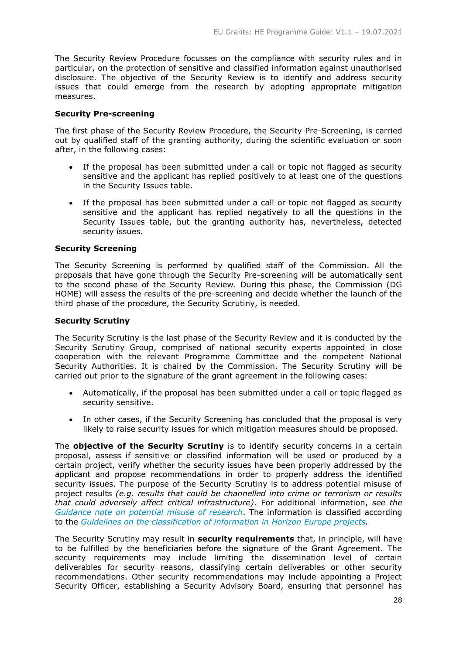The Security Review Procedure focusses on the compliance with security rules and in particular, on the protection of sensitive and classified information against unauthorised disclosure. The objective of the Security Review is to identify and address security issues that could emerge from the research by adopting appropriate mitigation measures.

# **Security Pre-screening**

The first phase of the Security Review Procedure, the Security Pre-Screening, is carried out by qualified staff of the granting authority, during the scientific evaluation or soon after, in the following cases:

- If the proposal has been submitted under a call or topic not flagged as security sensitive and the applicant has replied positively to at least one of the questions in the Security Issues table.
- If the proposal has been submitted under a call or topic not flagged as security sensitive and the applicant has replied negatively to all the questions in the Security Issues table, but the granting authority has, nevertheless, detected security issues.

# **Security Screening**

The Security Screening is performed by qualified staff of the Commission. All the proposals that have gone through the Security Pre-screening will be automatically sent to the second phase of the Security Review. During this phase, the Commission (DG HOME) will assess the results of the pre-screening and decide whether the launch of the third phase of the procedure, the Security Scrutiny, is needed.

# **Security Scrutiny**

The Security Scrutiny is the last phase of the Security Review and it is conducted by the Security Scrutiny Group, comprised of national security experts appointed in close cooperation with the relevant Programme Committee and the competent National Security Authorities. It is chaired by the Commission. The Security Scrutiny will be carried out prior to the signature of the grant agreement in the following cases:

- Automatically, if the proposal has been submitted under a call or topic flagged as security sensitive.
- In other cases, if the Security Screening has concluded that the proposal is very likely to raise security issues for which mitigation measures should be proposed.

The **objective of the Security Scrutiny** is to identify security concerns in a certain proposal, assess if sensitive or classified information will be used or produced by a certain project, verify whether the security issues have been properly addressed by the applicant and propose recommendations in order to properly address the identified security issues. The purpose of the Security Scrutiny is to address potential misuse of project results *(e.g. results that could be channelled into crime or terrorism or results that could adversely affect critical infrastructure)*. For additional information, *see the [Guidance note on potential misuse of research](https://ec.europa.eu/info/funding-tenders/opportunities/docs/2021-2027/horizon/guidance/guidance-note-potential-misuse-of-research-results_he_en.pdf)*. The information is classified according to the *[Guidelines on the classification of information in Horizon Europe](https://ec.europa.eu/info/funding-tenders/opportunities/docs/2021-2027/horizon/guidance/classification-of-information-in-he-projects_he_en.pdf) projects.* 

The Security Scrutiny may result in **security requirements** that, in principle, will have to be fulfilled by the beneficiaries before the signature of the Grant Agreement. The security requirements may include limiting the dissemination level of certain deliverables for security reasons, classifying certain deliverables or other security recommendations. Other security recommendations may include appointing a Project Security Officer, establishing a Security Advisory Board, ensuring that personnel has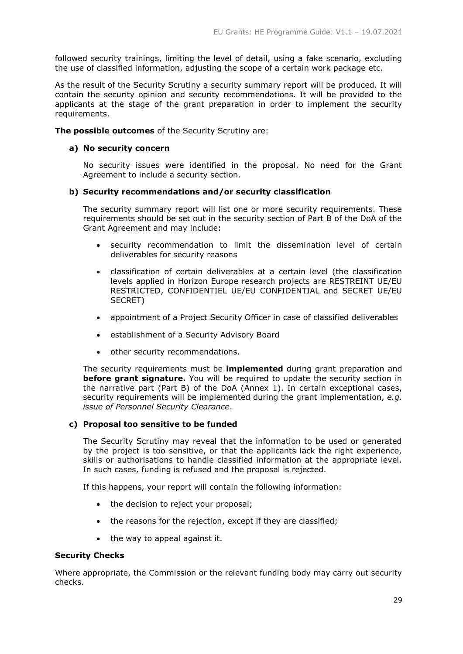followed security trainings, limiting the level of detail, using a fake scenario, excluding the use of classified information, adjusting the scope of a certain work package etc.

As the result of the Security Scrutiny a security summary report will be produced. It will contain the security opinion and security recommendations. It will be provided to the applicants at the stage of the grant preparation in order to implement the security requirements.

**The possible outcomes** of the Security Scrutiny are:

# **a) No security concern**

No security issues were identified in the proposal. No need for the Grant Agreement to include a security section.

# **b) Security recommendations and/or security classification**

The security summary report will list one or more security requirements. These requirements should be set out in the security section of Part B of the DoA of the Grant Agreement and may include:

- security recommendation to limit the dissemination level of certain deliverables for security reasons
- classification of certain deliverables at a certain level (the classification levels applied in Horizon Europe research projects are RESTREINT UE/EU RESTRICTED, CONFIDENTIEL UE/EU CONFIDENTIAL and SECRET UE/EU SECRET)
- appointment of a Project Security Officer in case of classified deliverables
- establishment of a Security Advisory Board
- other security recommendations.

The security requirements must be **implemented** during grant preparation and **before grant signature.** You will be required to update the security section in the narrative part (Part B) of the DoA (Annex 1). In certain exceptional cases, security requirements will be implemented during the grant implementation, *e.g. issue of Personnel Security Clearance*.

# **c) Proposal too sensitive to be funded**

The Security Scrutiny may reveal that the information to be used or generated by the project is too sensitive, or that the applicants lack the right experience, skills or authorisations to handle classified information at the appropriate level. In such cases, funding is refused and the proposal is rejected.

If this happens, your report will contain the following information:

- the decision to reject your proposal;
- the reasons for the rejection, except if they are classified;
- the way to appeal against it.

# **Security Checks**

Where appropriate, the Commission or the relevant funding body may carry out security checks.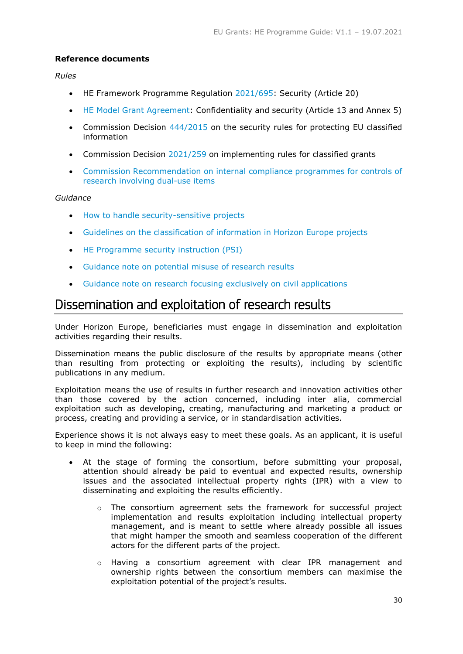# **Reference documents**

# *Rules*

- HE Framework Programme Regulation [2021/695:](https://eur-lex.europa.eu/legal-content/EN/ALL/?uri=CELEX:32021R0695) Security (Article 20)
- [HE Model Grant Agreement:](https://ec.europa.eu/info/funding-tenders/opportunities/docs/2021-2027/common/agr-contr/general-mga_horizon-euratom_en.pdf) Confidentiality and security (Article 13 and Annex 5)
- Commission Decision [444/2015](https://eur-lex.europa.eu/legal-content/EN/TXT/PDF/?uri=CELEX:32015D0444&from=en) on the security rules for protecting EU classified information
- Commission Decision [2021/259](https://eur-lex.europa.eu/legal-content/EN/ALL/?uri=CELEX:32021D0259) on implementing rules for classified grants
- [Commission Recommendation on internal compliance programmes for controls of](https://eur-lex.europa.eu/eli/reg/2021/821)  [research involving dual-use items](https://eur-lex.europa.eu/eli/reg/2021/821)

# *Guidance*

- [How to handle security-sensitive projects](https://ec.europa.eu/info/funding-tenders/opportunities/docs/2021-2027/common/guidance/how-to-handle-security-sensitive-projects_en.pdf)
- [Guidelines on the classification of information in Horizon Europe projects](https://ec.europa.eu/info/funding-tenders/opportunities/docs/2021-2027/horizon/guidance/classification-of-information-in-he-projects_he_en.pdf)
- HE Programme [security instruction \(PSI\)](https://ec.europa.eu/info/funding-tenders/opportunities/docs/2021-2027/horizon/guidance/psi_he_en.pdf)
- [Guidance note on potential misuse of research results](https://ec.europa.eu/info/funding-tenders/opportunities/docs/2021-2027/horizon/guidance/guidance-note-potential-misuse-of-research-results_he_en.pdf)
- Guidance note [on research focusing exclusively on civil applications](https://ec.europa.eu/info/funding-tenders/opportunities/docs/2021-2027/horizon/guidance/guidance-note-research-focusing-exclusively-on-civil-applications_he_en.pdf)

# <span id="page-29-0"></span>Dissemination and exploitation of research results

Under Horizon Europe, beneficiaries must engage in dissemination and exploitation activities regarding their results.

Dissemination means the public disclosure of the results by appropriate means (other than resulting from protecting or exploiting the results), including by scientific publications in any medium.

Exploitation means the use of results in further research and innovation activities other than those covered by the action concerned, including inter alia, commercial exploitation such as developing, creating, manufacturing and marketing a product or process, creating and providing a service, or in standardisation activities.

Experience shows it is not always easy to meet these goals. As an applicant, it is useful to keep in mind the following:

- At the stage of forming the consortium, before submitting your proposal, attention should already be paid to eventual and expected results, ownership issues and the associated intellectual property rights (IPR) with a view to disseminating and exploiting the results efficiently.
	- o The consortium agreement sets the framework for successful project implementation and results exploitation including intellectual property management, and is meant to settle where already possible all issues that might hamper the smooth and seamless cooperation of the different actors for the different parts of the project.
	- o Having a consortium agreement with clear IPR management and ownership rights between the consortium members can maximise the exploitation potential of the project's results.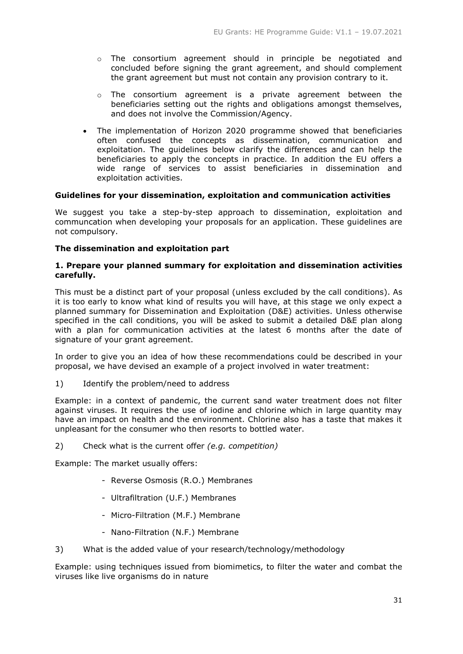- o The consortium agreement should in principle be negotiated and concluded before signing the grant agreement, and should complement the grant agreement but must not contain any provision contrary to it.
- $\circ$  The consortium agreement is a private agreement between the beneficiaries setting out the rights and obligations amongst themselves, and does not involve the Commission/Agency.
- The implementation of Horizon 2020 programme showed that beneficiaries often confused the concepts as dissemination, communication and exploitation. The guidelines below clarify the differences and can help the beneficiaries to apply the concepts in practice. In addition the EU offers a wide range of services to assist beneficiaries in dissemination and exploitation activities.

# **Guidelines for your dissemination, exploitation and communication activities**

We suggest you take a step-by-step approach to dissemination, exploitation and communcation when developing your proposals for an application. These guidelines are not compulsory.

# **The dissemination and exploitation part**

# **1. Prepare your planned summary for exploitation and dissemination activities carefully.**

This must be a distinct part of your proposal (unless excluded by the call conditions). As it is too early to know what kind of results you will have, at this stage we only expect a planned summary for Dissemination and Exploitation (D&E) activities. Unless otherwise specified in the call conditions, you will be asked to submit a detailed D&E plan along with a plan for communication activities at the latest 6 months after the date of signature of your grant agreement.

In order to give you an idea of how these recommendations could be described in your proposal, we have devised an example of a project involved in water treatment:

1) Identify the problem/need to address

Example: in a context of pandemic, the current sand water treatment does not filter against viruses. It requires the use of iodine and chlorine which in large quantity may have an impact on health and the environment. Chlorine also has a taste that makes it unpleasant for the consumer who then resorts to bottled water.

2) Check what is the current offer *(e.g. competition)*

Example: The market usually offers:

- Reverse Osmosis (R.O.) Membranes
- Ultrafiltration (U.F.) Membranes
- Micro-Filtration (M.F.) Membrane
- Nano-Filtration (N.F.) Membrane
- 3) What is the added value of your research/technology/methodology

Example: using techniques issued from biomimetics, to filter the water and combat the viruses like live organisms do in nature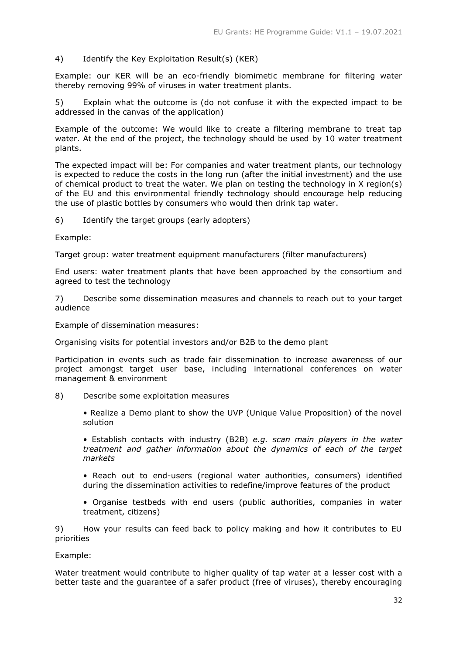# 4) Identify the Key Exploitation Result(s) (KER)

Example: our KER will be an eco-friendly biomimetic membrane for filtering water thereby removing 99% of viruses in water treatment plants.

5) Explain what the outcome is (do not confuse it with the expected impact to be addressed in the canvas of the application)

Example of the outcome: We would like to create a filtering membrane to treat tap water. At the end of the project, the technology should be used by 10 water treatment plants.

The expected impact will be: For companies and water treatment plants, our technology is expected to reduce the costs in the long run (after the initial investment) and the use of chemical product to treat the water. We plan on testing the technology in X region(s) of the EU and this environmental friendly technology should encourage help reducing the use of plastic bottles by consumers who would then drink tap water.

6) Identify the target groups (early adopters)

Example:

Target group: water treatment equipment manufacturers (filter manufacturers)

End users: water treatment plants that have been approached by the consortium and agreed to test the technology

7) Describe some dissemination measures and channels to reach out to your target audience

Example of dissemination measures:

Organising visits for potential investors and/or B2B to the demo plant

Participation in events such as trade fair dissemination to increase awareness of our project amongst target user base, including international conferences on water management & environment

8) Describe some exploitation measures

• Realize a Demo plant to show the UVP (Unique Value Proposition) of the novel solution

• Establish contacts with industry (B2B) *e.g. scan main players in the water treatment and gather information about the dynamics of each of the target markets*

• Reach out to end-users (regional water authorities, consumers) identified during the dissemination activities to redefine/improve features of the product

• Organise testbeds with end users (public authorities, companies in water treatment, citizens)

9) How your results can feed back to policy making and how it contributes to EU priorities

Example:

Water treatment would contribute to higher quality of tap water at a lesser cost with a better taste and the guarantee of a safer product (free of viruses), thereby encouraging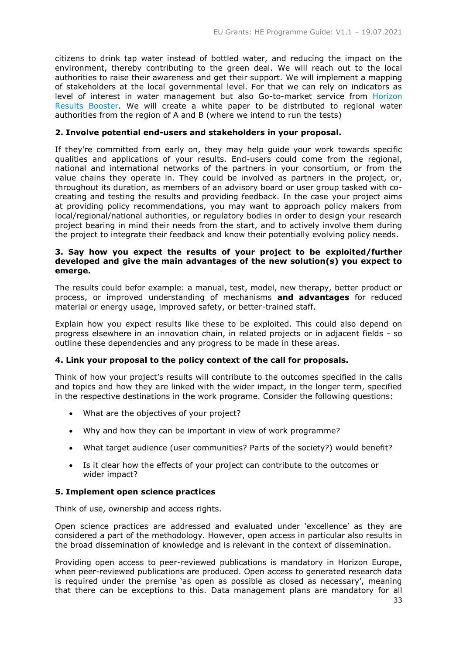citizens to drink tap water instead of bottled water, and reducing the impact on the environment, thereby contributing to the green deal. We will reach out to the local authorities to raise their awareness and get their support. We will implement a mapping of stakeholders at the local governmental level. For that we can rely on indicators as level of interest in water management but also Go-to-market service from [Horizon](https://www.horizonresultsbooster.eu/)  [Results Booster.](https://www.horizonresultsbooster.eu/) We will create a white paper to be distributed to regional water authorities from the region of A and B (where we intend to run the tests)

# **2. Involve potential end-users and stakeholders in your proposal.**

If they're committed from early on, they may help guide your work towards specific qualities and applications of your results. End-users could come from the regional, national and international networks of the partners in your consortium, or from the value chains they operate in. They could be involved as partners in the project, or, throughout its duration, as members of an advisory board or user group tasked with cocreating and testing the results and providing feedback. In the case your project aims at providing policy recommendations, you may want to approach policy makers from local/regional/national authorities, or regulatory bodies in order to design your research project bearing in mind their needs from the start, and to actively involve them during the project to integrate their feedback and know their potentially evolving policy needs.

# **3. Say how you expect the results of your project to be exploited/further developed and give the main advantages of the new solution(s) you expect to emerge.**

The results could befor example: a manual, test, model, new therapy, better product or process, or improved understanding of mechanisms **and advantages** for reduced material or energy usage, improved safety, or better-trained staff.

Explain how you expect results like these to be exploited. This could also depend on progress elsewhere in an innovation chain, in related projects or in adjacent fields - so outline these dependencies and any progress to be made in these areas.

# **4. Link your proposal to the policy context of the call for proposals.**

Think of how your project's results will contribute to the outcomes specified in the calls and topics and how they are linked with the wider impact, in the longer term, specified in the respective destinations in the work programe. Consider the following questions:

- What are the objectives of your project?
- Why and how they can be important in view of work programme?
- What target audience (user communities? Parts of the society?) would benefit?
- Is it clear how the effects of your project can contribute to the outcomes or wider impact?

# **5. Implement open science practices**

Think of use, ownership and access rights.

Open science practices are addressed and evaluated under 'excellence' as they are considered a part of the methodology. However, open access in particular also results in the broad dissemination of knowledge and is relevant in the context of dissemination.

Providing open access to peer-reviewed publications is mandatory in Horizon Europe, when peer-reviewed publications are produced. Open access to generated research data is required under the premise 'as open as possible as closed as necessary', meaning that there can be exceptions to this. Data management plans are mandatory for all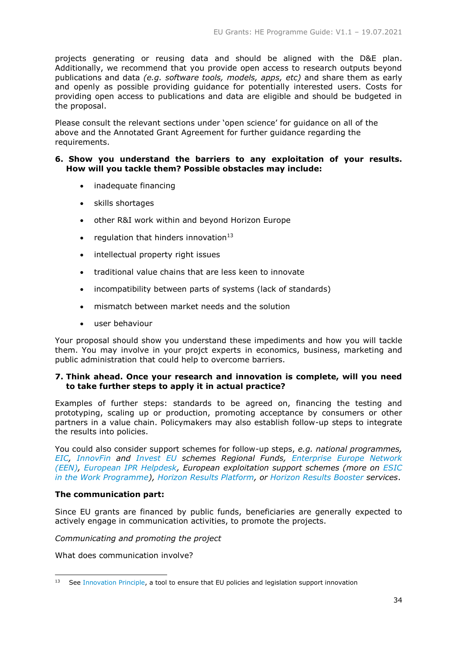projects generating or reusing data and should be aligned with the D&E plan. Additionally, we recommend that you provide open access to research outputs beyond publications and data *(e.g. software tools, models, apps, etc)* and share them as early and openly as possible providing guidance for potentially interested users. Costs for providing open access to publications and data are eligible and should be budgeted in the proposal.

Please consult the relevant sections under 'open science' for guidance on all of the above and the Annotated Grant Agreement for further guidance regarding the requirements.

# **6. Show you understand the barriers to any exploitation of your results. How will you tackle them? Possible obstacles may include:**

- inadequate financing
- skills shortages
- other R&I work within and beyond Horizon Europe
- regulation that hinders innovation<sup>13</sup>
- intellectual property right issues
- traditional value chains that are less keen to innovate
- incompatibility between parts of systems (lack of standards)
- mismatch between market needs and the solution
- user behaviour

Your proposal should show you understand these impediments and how you will tackle them. You may involve in your projct experts in economics, business, marketing and public administration that could help to overcome barriers.

# **7. Think ahead. Once your research and innovation is complete, will you need to take further steps to apply it in actual practice?**

Examples of further steps: standards to be agreed on, financing the testing and prototyping, scaling up or production, promoting acceptance by consumers or other partners in a value chain. Policymakers may also establish follow-up steps to integrate the results into policies.

You could also consider support schemes for follow-up steps, *e.g. national programmes, [EIC,](https://eic.ec.europa.eu/index_en) [InnovFin](https://ec.europa.eu/programmes/horizon2020/en/h2020-section/access-risk-finance) and [Invest EU](https://europa.eu/investeu/home_en) schemes Regional Funds, [Enterprise Europe Network](https://een.ec.europa.eu/)  [\(EEN\),](https://een.ec.europa.eu/) [European IPR Helpdesk,](https://www.iprhelpdesk.eu/) European exploitation support schemes (more on [ESIC](https://ec.europa.eu/research/participants/data/ref/h2020/wp/2018-2020/main/h2020-wp1820-leit-nmp_en.pdf)  [in the Work Programme\)](https://ec.europa.eu/research/participants/data/ref/h2020/wp/2018-2020/main/h2020-wp1820-leit-nmp_en.pdf), [Horizon Results Platform,](https://ec.europa.eu/info/funding-tenders/opportunities/portal/screen/opportunities/horizon-results-platform) or [Horizon Results Booster](https://www.horizonresultsbooster.eu/) services*.

# **The communication part:**

Since EU grants are financed by public funds, beneficiaries are generally expected to actively engage in communication activities, to promote the projects.

*Communicating and promoting the project* 

What does communication involve?

<sup>-</sup><sup>13</sup> See [Innovation Principle,](https://ec.europa.eu/info/research-and-innovation/law-and-regulations/innovation-friendly-legislation_en) a tool to ensure that EU policies and legislation support innovation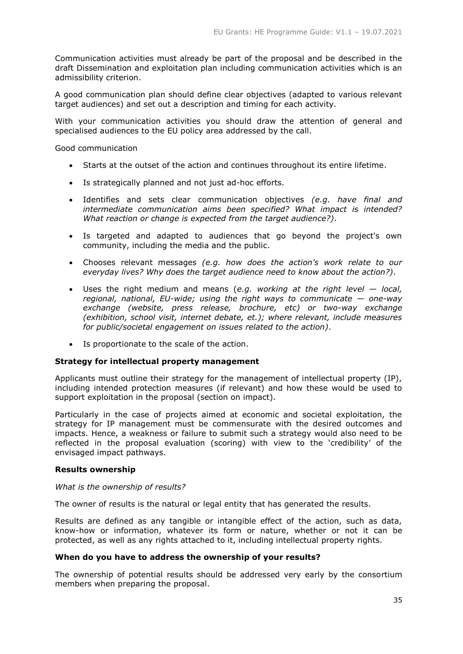Communication activities must already be part of the proposal and be described in the draft Dissemination and exploitation plan including communication activities which is an admissibility criterion.

A good communication plan should define clear objectives (adapted to various relevant target audiences) and set out a description and timing for each activity.

With your communication activities you should draw the attention of general and specialised audiences to the EU policy area addressed by the call.

Good communication

- Starts at the outset of the action and continues throughout its entire lifetime.
- Is strategically planned and not just ad-hoc efforts.
- Identifies and sets clear communication objectives *(e.g. have final and intermediate communication aims been specified? What impact is intended? What reaction or change is expected from the target audience?)*.
- Is targeted and adapted to audiences that go beyond the project's own community, including the media and the public.
- Chooses relevant messages *(e.g. how does the action's work relate to our everyday lives? Why does the target audience need to know about the action?).*
- Uses the right medium and means (*e.g. working at the right level — local, regional, national, EU-wide; using the right ways to communicate — one-way exchange (website, press release, brochure, etc) or two-way exchange (exhibition, school visit, internet debate, et.); where relevant, include measures for public/societal engagement on issues related to the action)*.
- Is proportionate to the scale of the action.

# **Strategy for intellectual property management**

Applicants must outline their strategy for the management of intellectual property (IP), including intended protection measures (if relevant) and how these would be used to support exploitation in the proposal (section on impact).

Particularly in the case of projects aimed at economic and societal exploitation, the strategy for IP management must be commensurate with the desired outcomes and impacts. Hence, a weakness or failure to submit such a strategy would also need to be reflected in the proposal evaluation (scoring) with view to the 'credibility' of the envisaged impact pathways.

# **Results ownership**

#### *What is the ownership of results?*

The owner of results is the natural or legal entity that has generated the results.

Results are defined as any tangible or intangible effect of the action, such as data, know-how or information, whatever its form or nature, whether or not it can be protected, as well as any rights attached to it, including intellectual property rights.

# **When do you have to address the ownership of your results?**

The ownership of potential results should be addressed very early by the consortium members when preparing the proposal.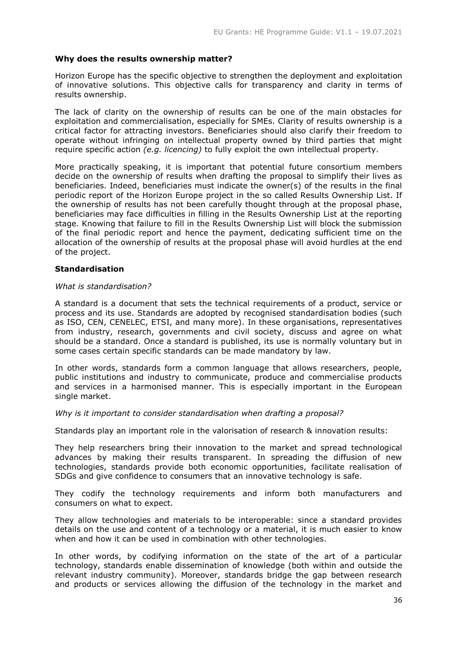# **Why does the results ownership matter?**

Horizon Europe has the specific objective to strengthen the deployment and exploitation of innovative solutions. This objective calls for transparency and clarity in terms of results ownership.

The lack of clarity on the ownership of results can be one of the main obstacles for exploitation and commercialisation, especially for SMEs. Clarity of results ownership is a critical factor for attracting investors. Beneficiaries should also clarify their freedom to operate without infringing on intellectual property owned by third parties that might require specific action *(e.g. licencing)* to fully exploit the own intellectual property.

More practically speaking, it is important that potential future consortium members decide on the ownership of results when drafting the proposal to simplify their lives as beneficiaries. Indeed, beneficiaries must indicate the owner(s) of the results in the final periodic report of the Horizon Europe project in the so called Results Ownership List. If the ownership of results has not been carefully thought through at the proposal phase, beneficiaries may face difficulties in filling in the Results Ownership List at the reporting stage. Knowing that failure to fill in the Results Ownership List will block the submission of the final periodic report and hence the payment, dedicating sufficient time on the allocation of the ownership of results at the proposal phase will avoid hurdles at the end of the project.

# **Standardisation**

# *What is standardisation?*

A standard is a document that sets the technical requirements of a product, service or process and its use. Standards are adopted by recognised standardisation bodies (such as ISO, CEN, CENELEC, ETSI, and many more). In these organisations, representatives from industry, research, governments and civil society, discuss and agree on what should be a standard. Once a standard is published, its use is normally voluntary but in some cases certain specific standards can be made mandatory by law.

In other words, standards form a common language that allows researchers, people, public institutions and industry to communicate, produce and commercialise products and services in a harmonised manner. This is especially important in the European single market.

# *Why is it important to consider standardisation when drafting a proposal?*

Standards play an important role in the valorisation of research & innovation results:

They help researchers bring their innovation to the market and spread technological advances by making their results transparent. In spreading the diffusion of new technologies, standards provide both economic opportunities, facilitate realisation of SDGs and give confidence to consumers that an innovative technology is safe.

They codify the technology requirements and inform both manufacturers and consumers on what to expect.

They allow technologies and materials to be interoperable: since a standard provides details on the use and content of a technology or a material, it is much easier to know when and how it can be used in combination with other technologies.

In other words, by codifying information on the state of the art of a particular technology, standards enable dissemination of knowledge (both within and outside the relevant industry community). Moreover, standards bridge the gap between research and products or services allowing the diffusion of the technology in the market and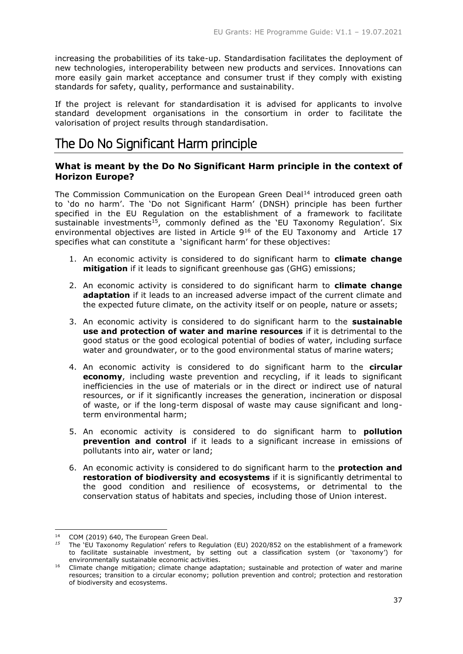increasing the probabilities of its take-up. Standardisation facilitates the deployment of new technologies, interoperability between new products and services. Innovations can more easily gain market acceptance and consumer trust if they comply with existing standards for safety, quality, performance and sustainability.

If the project is relevant for standardisation it is advised for applicants to involve standard development organisations in the consortium in order to facilitate the valorisation of project results through standardisation.

# <span id="page-36-0"></span>The Do No Significant Harm principle

# **What is meant by the Do No Significant Harm principle in the context of Horizon Europe?**

The Commission Communication on the European Green Deal<sup>14</sup> introduced green oath to 'do no harm'. The 'Do not Significant Harm' (DNSH) principle has been further specified in the EU Regulation on the establishment of a framework to facilitate sustainable investments<sup>15</sup>, commonly defined as the 'EU Taxonomy Regulation'. Six environmental objectives are listed in Article 9<sup>16</sup> of the EU Taxonomy and Article 17 specifies what can constitute a 'significant harm' for these objectives:

- 1. An economic activity is considered to do significant harm to **climate change mitigation** if it leads to significant greenhouse gas (GHG) emissions;
- 2. An economic activity is considered to do significant harm to **climate change adaptation** if it leads to an increased adverse impact of the current climate and the expected future climate, on the activity itself or on people, nature or assets;
- 3. An economic activity is considered to do significant harm to the **sustainable use and protection of water and marine resources** if it is detrimental to the good status or the good ecological potential of bodies of water, including surface water and groundwater, or to the good environmental status of marine waters;
- 4. An economic activity is considered to do significant harm to the **circular economy**, including waste prevention and recycling, if it leads to significant inefficiencies in the use of materials or in the direct or indirect use of natural resources, or if it significantly increases the generation, incineration or disposal of waste, or if the long-term disposal of waste may cause significant and longterm environmental harm;
- 5. An economic activity is considered to do significant harm to **pollution prevention and control** if it leads to a significant increase in emissions of pollutants into air, water or land;
- 6. An economic activity is considered to do significant harm to the **protection and restoration of biodiversity and ecosystems** if it is significantly detrimental to the good condition and resilience of ecosystems, or detrimental to the conservation status of habitats and species, including those of Union interest.

-

<sup>14</sup> COM (2019) 640, The European Green Deal.

*<sup>15</sup>* The 'EU Taxonomy Regulation' refers to Regulation (EU) 2020/852 on the establishment of a framework to facilitate sustainable investment, by setting out a classification system (or 'taxonomy') for environmentally sustainable economic activities.

<sup>16</sup> Climate change mitigation; climate change adaptation; sustainable and protection of water and marine resources; transition to a circular economy; pollution prevention and control; protection and restoration of biodiversity and ecosystems.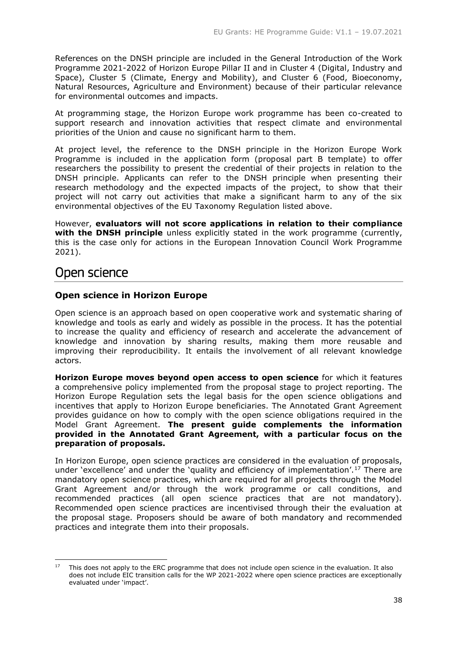References on the DNSH principle are included in the General Introduction of the Work Programme 2021-2022 of Horizon Europe Pillar II and in Cluster 4 (Digital, Industry and Space), Cluster 5 (Climate, Energy and Mobility), and Cluster 6 (Food, Bioeconomy, Natural Resources, Agriculture and Environment) because of their particular relevance for environmental outcomes and impacts.

At programming stage, the Horizon Europe work programme has been co-created to support research and innovation activities that respect climate and environmental priorities of the Union and cause no significant harm to them.

At project level, the reference to the DNSH principle in the Horizon Europe Work Programme is included in the application form (proposal part B template) to offer researchers the possibility to present the credential of their projects in relation to the DNSH principle. Applicants can refer to the DNSH principle when presenting their research methodology and the expected impacts of the project, to show that their project will not carry out activities that make a significant harm to any of the six environmental objectives of the EU Taxonomy Regulation listed above.

However, **evaluators will not score applications in relation to their compliance with the DNSH principle** unless explicitly stated in the work programme (currently, this is the case only for actions in the European Innovation Council Work Programme 2021).

# <span id="page-37-0"></span>Open science

-

# **Open science in Horizon Europe**

Open science is an approach based on open cooperative work and systematic sharing of knowledge and tools as early and widely as possible in the process. It has the potential to increase the quality and efficiency of research and accelerate the advancement of knowledge and innovation by sharing results, making them more reusable and improving their reproducibility. It entails the involvement of all relevant knowledge actors.

**Horizon Europe moves beyond open access to open science** for which it features a comprehensive policy implemented from the proposal stage to project reporting. The Horizon Europe Regulation sets the legal basis for the open science obligations and incentives that apply to Horizon Europe beneficiaries. The Annotated Grant Agreement provides guidance on how to comply with the open science obligations required in the Model Grant Agreement. **The present guide complements the information provided in the Annotated Grant Agreement, with a particular focus on the preparation of proposals.**

In Horizon Europe, open science practices are considered in the evaluation of proposals, under 'excellence' and under the 'quality and efficiency of implementation'.<sup>17</sup> There are mandatory open science practices, which are required for all projects through the Model Grant Agreement and/or through the work programme or call conditions, and recommended practices (all open science practices that are not mandatory). Recommended open science practices are incentivised through their the evaluation at the proposal stage. Proposers should be aware of both mandatory and recommended practices and integrate them into their proposals.

<sup>&</sup>lt;sup>17</sup> This does not apply to the ERC programme that does not include open science in the evaluation. It also does not include EIC transition calls for the WP 2021-2022 where open science practices are exceptionally evaluated under 'impact'.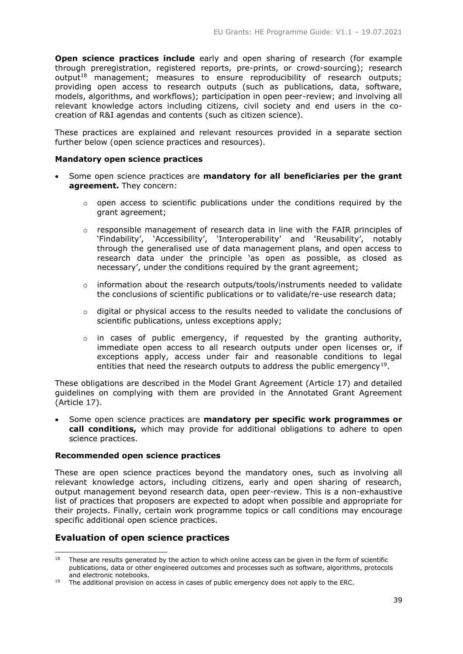**Open science practices include** early and open sharing of research (for example through preregistration, registered reports, pre-prints, or crowd-sourcing); research output<sup>18</sup> management; measures to ensure reproducibility of research outputs; providing open access to research outputs (such as publications, data, software, models, algorithms, and workflows); participation in open peer-review; and involving all relevant knowledge actors including citizens, civil society and end users in the cocreation of R&I agendas and contents (such as citizen science).

These practices are explained and relevant resources provided in a separate section further below (open science practices and resources).

# **Mandatory open science practices**

- Some open science practices are **mandatory for all beneficiaries per the grant agreement.** They concern:
	- $\circ$  open access to scientific publications under the conditions required by the grant agreement;
	- $\circ$  responsible management of research data in line with the FAIR principles of 'Findability', 'Accessibility', 'Interoperability' and 'Reusability', notably through the generalised use of data management plans, and open access to research data under the principle 'as open as possible, as closed as necessary', under the conditions required by the grant agreement;
	- $\circ$  information about the research outputs/tools/instruments needed to validate the conclusions of scientific publications or to validate/re-use research data;
	- $\circ$  digital or physical access to the results needed to validate the conclusions of scientific publications, unless exceptions apply;
	- o in cases of public emergency, if requested by the granting authority, immediate open access to all research outputs under open licenses or, if exceptions apply, access under fair and reasonable conditions to legal entities that need the research outputs to address the public emergency<sup>19</sup>.

These obligations are described in the Model Grant Agreement (Article 17) and detailed guidelines on complying with them are provided in the Annotated Grant Agreement (Article 17).

 Some open science practices are **mandatory per specific work programmes or call conditions,** which may provide for additional obligations to adhere to open science practices.

# **Recommended open science practices**

These are open science practices beyond the mandatory ones, such as involving all relevant knowledge actors, including citizens, early and open sharing of research, output management beyond research data, open peer-review. This is a non-exhaustive list of practices that proposers are expected to adopt when possible and appropriate for their projects. Finally, certain work programme topics or call conditions may encourage specific additional open science practices.

# **Evaluation of open science practices**

<sup>-</sup><sup>18</sup> These are results generated by the action to which online access can be given in the form of scientific publications, data or other engineered outcomes and processes such as software, algorithms, protocols and electronic notebooks.

 $19$  The additional provision on access in cases of public emergency does not apply to the ERC.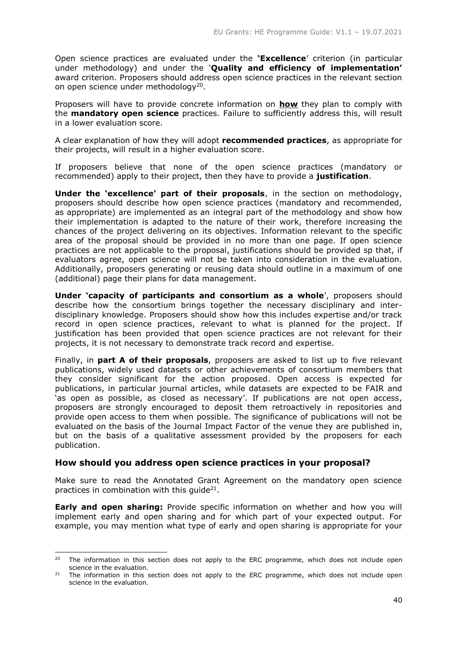Open science practices are evaluated under the **'Excellence**' criterion (in particular under methodology) and under the '**Quality and efficiency of implementation'** award criterion. Proposers should address open science practices in the relevant section on open science under methodology<sup>20</sup>.

Proposers will have to provide concrete information on **how** they plan to comply with the **mandatory open science** practices. Failure to sufficiently address this, will result in a lower evaluation score.

A clear explanation of how they will adopt **recommended practices**, as appropriate for their projects, will result in a higher evaluation score.

If proposers believe that none of the open science practices (mandatory or recommended) apply to their project, then they have to provide a **justification**.

**Under the 'excellence' part of their proposals**, in the section on methodology, proposers should describe how open science practices (mandatory and recommended, as appropriate) are implemented as an integral part of the methodology and show how their implementation is adapted to the nature of their work, therefore increasing the chances of the project delivering on its objectives. Information relevant to the specific area of the proposal should be provided in no more than one page. If open science practices are not applicable to the proposal, justifications should be provided sp that, if evaluators agree, open science will not be taken into consideration in the evaluation. Additionally, proposers generating or reusing data should outline in a maximum of one (additional) page their plans for data management.

**Under 'capacity of participants and consortium as a whole**', proposers should describe how the consortium brings together the necessary disciplinary and interdisciplinary knowledge. Proposers should show how this includes expertise and/or track record in open science practices, relevant to what is planned for the project. If justification has been provided that open science practices are not relevant for their projects, it is not necessary to demonstrate track record and expertise.

Finally, in **part A of their proposals**, proposers are asked to list up to five relevant publications, widely used datasets or other achievements of consortium members that they consider significant for the action proposed. Open access is expected for publications, in particular journal articles, while datasets are expected to be FAIR and 'as open as possible, as closed as necessary'. If publications are not open access, proposers are strongly encouraged to deposit them retroactively in repositories and provide open access to them when possible. The significance of publications will not be evaluated on the basis of the Journal Impact Factor of the venue they are published in, but on the basis of a qualitative assessment provided by the proposers for each publication.

# **How should you address open science practices in your proposal?**

-

Make sure to read the Annotated Grant Agreement on the mandatory open science practices in combination with this guide $21$ .

**Early and open sharing:** Provide specific information on whether and how you will implement early and open sharing and for which part of your expected output. For example, you may mention what type of early and open sharing is appropriate for your

<sup>&</sup>lt;sup>20</sup> The information in this section does not apply to the ERC programme, which does not include open science in the evaluation.

<sup>&</sup>lt;sup>21</sup> The information in this section does not apply to the ERC programme, which does not include open science in the evaluation.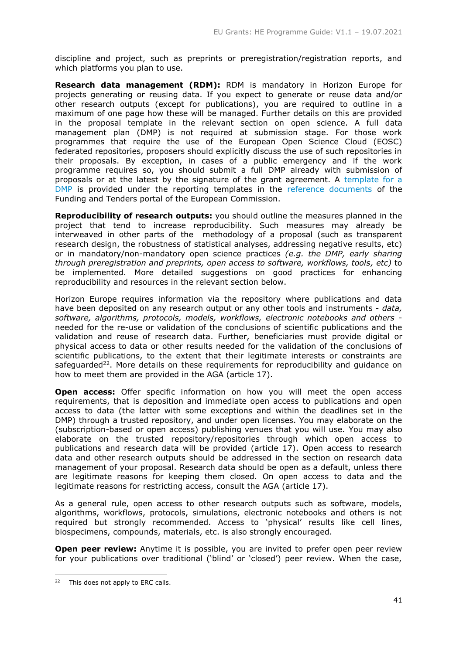discipline and project, such as preprints or preregistration/registration reports, and which platforms you plan to use.

**Research data management (RDM):** RDM is mandatory in Horizon Europe for projects generating or reusing data. If you expect to generate or reuse data and/or other research outputs (except for publications), you are required to outline in a maximum of one page how these will be managed. Further details on this are provided in the proposal template in the relevant section on open science. A full data management plan (DMP) is not required at submission stage. For those work programmes that require the use of the European Open Science Cloud (EOSC) federated repositories, proposers should explicitly discuss the use of such repositories in their proposals. By exception, in cases of a public emergency and if the work programme requires so, you should submit a full DMP already with submission of proposals or at the latest by the signature of the grant agreement. A [template for a](https://ec.europa.eu/info/funding-tenders/opportunities/docs/2021-2027/horizon/temp-form/report/data-management-plan-template_he_en.docx)  [DMP](https://ec.europa.eu/info/funding-tenders/opportunities/docs/2021-2027/horizon/temp-form/report/data-management-plan-template_he_en.docx) is provided under the reporting templates in the [reference documents](https://ec.europa.eu/info/funding-tenders/opportunities/portal/screen/how-to-participate/reference-documents) of the Funding and Tenders portal of the European Commission.

**Reproducibility of research outputs:** you should outline the measures planned in the project that tend to increase reproducibility. Such measures may already be interweaved in other parts of the methodology of a proposal (such as transparent research design, the robustness of statistical analyses, addressing negative results, etc) or in mandatory/non-mandatory open science practices *(e.g. the DMP, early sharing through preregistration and preprints, open access to software, workflows, tools, etc)* to be implemented. More detailed suggestions on good practices for enhancing reproducibility and resources in the relevant section below.

Horizon Europe requires information via the repository where publications and data have been deposited on any research output or any other tools and instruments - *data, software, algorithms, protocols, models, workflows, electronic notebooks and others* needed for the re-use or validation of the conclusions of scientific publications and the validation and reuse of research data. Further, beneficiaries must provide digital or physical access to data or other results needed for the validation of the conclusions of scientific publications, to the extent that their legitimate interests or constraints are safeguarded<sup>22</sup>. More details on these requirements for reproducibility and guidance on how to meet them are provided in the AGA (article 17).

**Open access:** Offer specific information on how you will meet the open access requirements, that is deposition and immediate open access to publications and open access to data (the latter with some exceptions and within the deadlines set in the DMP) through a trusted repository, and under open licenses. You may elaborate on the (subscription-based or open access) publishing venues that you will use. You may also elaborate on the trusted repository/repositories through which open access to publications and research data will be provided (article 17). Open access to research data and other research outputs should be addressed in the section on research data management of your proposal. Research data should be open as a default, unless there are legitimate reasons for keeping them closed. On open access to data and the legitimate reasons for restricting access, consult the AGA (article 17).

As a general rule, open access to other research outputs such as software, models, algorithms, workflows, protocols, simulations, electronic notebooks and others is not required but strongly recommended. Access to 'physical' results like cell lines, biospecimens, compounds, materials, etc. is also strongly encouraged.

**Open peer review:** Anytime it is possible, you are invited to prefer open peer review for your publications over traditional ('blind' or 'closed') peer review. When the case,

-

<sup>&</sup>lt;sup>22</sup> This does not apply to ERC calls.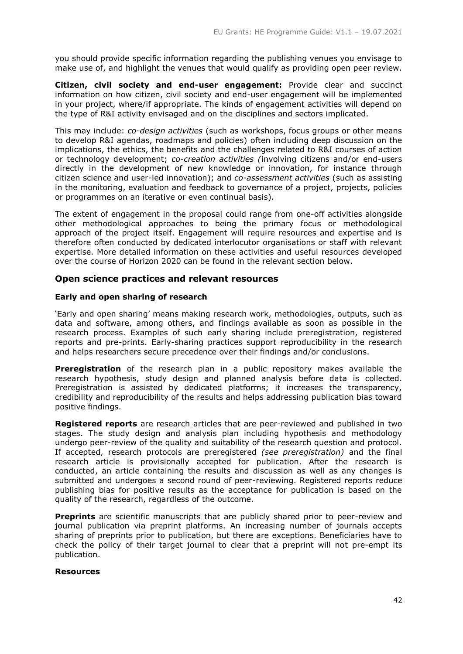you should provide specific information regarding the publishing venues you envisage to make use of, and highlight the venues that would qualify as providing open peer review.

**Citizen, civil society and end-user engagement:** Provide clear and succinct information on how citizen, civil society and end-user engagement will be implemented in your project, where/if appropriate. The kinds of engagement activities will depend on the type of R&I activity envisaged and on the disciplines and sectors implicated.

This may include: *co-design activities* (such as workshops, focus groups or other means to develop R&I agendas, roadmaps and policies) often including deep discussion on the implications, the ethics, the benefits and the challenges related to R&I courses of action or technology development; *co-creation activities (*involving citizens and/or end-users directly in the development of new knowledge or innovation, for instance through citizen science and user-led innovation); and *co-assessment activities* (such as assisting in the monitoring, evaluation and feedback to governance of a project, projects, policies or programmes on an iterative or even continual basis).

The extent of engagement in the proposal could range from one-off activities alongside other methodological approaches to being the primary focus or methodological approach of the project itself. Engagement will require resources and expertise and is therefore often conducted by dedicated interlocutor organisations or staff with relevant expertise. More detailed information on these activities and useful resources developed over the course of Horizon 2020 can be found in the relevant section below.

# **Open science practices and relevant resources**

# **Early and open sharing of research**

'Early and open sharing' means making research work, methodologies, outputs, such as data and software, among others, and findings available as soon as possible in the research process. Examples of such early sharing include preregistration, registered reports and pre-prints. Early-sharing practices support reproducibility in the research and helps researchers secure precedence over their findings and/or conclusions.

**Preregistration** of the research plan in a public repository makes available the research hypothesis, study design and planned analysis before data is collected. Preregistration is assisted by dedicated platforms; it increases the transparency, credibility and reproducibility of the results and helps addressing publication bias toward positive findings.

**Registered reports** are research articles that are peer-reviewed and published in two stages. The study design and analysis plan including hypothesis and methodology undergo peer-review of the quality and suitability of the research question and protocol. If accepted, research protocols are preregistered *(see preregistration)* and the final research article is provisionally accepted for publication. After the research is conducted, an article containing the results and discussion as well as any changes is submitted and undergoes a second round of peer-reviewing. Registered reports reduce publishing bias for positive results as the acceptance for publication is based on the quality of the research, regardless of the outcome.

**Preprints** are scientific manuscripts that are publicly shared prior to peer-review and journal publication via preprint platforms. An increasing number of journals accepts sharing of preprints prior to publication, but there are exceptions. Beneficiaries have to check the policy of their target journal to clear that a preprint will not pre-empt its publication.

# **Resources**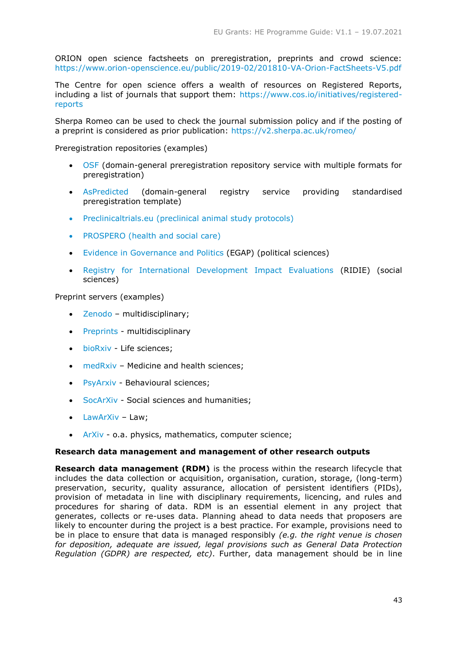ORION open science factsheets on preregistration, preprints and crowd science: <https://www.orion-openscience.eu/public/2019-02/201810-VA-Orion-FactSheets-V5.pdf>

The Centre for open science offers a wealth of resources on Registered Reports, including a list of journals that support them: [https://www.cos.io/initiatives/registered](https://www.cos.io/initiatives/registered-reports)[reports](https://www.cos.io/initiatives/registered-reports)

Sherpa Romeo can be used to check the journal submission policy and if the posting of a preprint is considered as prior publication:<https://v2.sherpa.ac.uk/romeo/>

Preregistration repositories (examples)

- [OSF](https://osf.io/registries) (domain-general preregistration repository service with multiple formats for preregistration)
- [AsPredicted](https://aspredicted.org/) (domain-general registry service providing standardised preregistration template)
- [Preclinicaltrials.eu](https://preclinicaltrials.eu/) (preclinical animal study protocols)
- [PROSPERO](https://www.crd.york.ac.uk/prospero/) (health and social care)
- [Evidence in Governance and Politics](https://egap.org/) (EGAP) (political sciences)
- [Registry for International Development Impact Evaluations](https://www.3ieimpact.org/evidence-hub/ridie) (RIDIE) (social sciences)

Preprint servers (examples)

- [Zenodo](https://zenodo.org/) multidisciplinary;
- [Preprints](https://www.preprints.org/) multidisciplinary
- [bioRxiv](https://www.biorxiv.org/) Life sciences;
- [medRxiv](https://www.medrxiv.org/) Medicine and health sciences;
- [PsyArxiv](https://psyarxiv.com/) Behavioural sciences;
- [SocArXiv](https://osf.io/preprints/socarxiv) Social sciences and humanities;
- [LawArXiv](http://lawarxiv.info/) Law;
- [ArXiv](https://arxiv.org/) o.a. physics, mathematics, computer science;

# **Research data management and management of other research outputs**

**Research data management (RDM)** is the process within the research lifecycle that includes the data collection or acquisition, organisation, curation, storage, (long-term) preservation, security, quality assurance, allocation of persistent identifiers (PIDs), provision of metadata in line with disciplinary requirements, licencing, and rules and procedures for sharing of data. RDM is an essential element in any project that generates, collects or re-uses data. Planning ahead to data needs that proposers are likely to encounter during the project is a best practice. For example, provisions need to be in place to ensure that data is managed responsibly *(e.g. the right venue is chosen for deposition, adequate are issued, legal provisions such as General Data Protection Regulation (GDPR) are respected, etc)*. Further, data management should be in line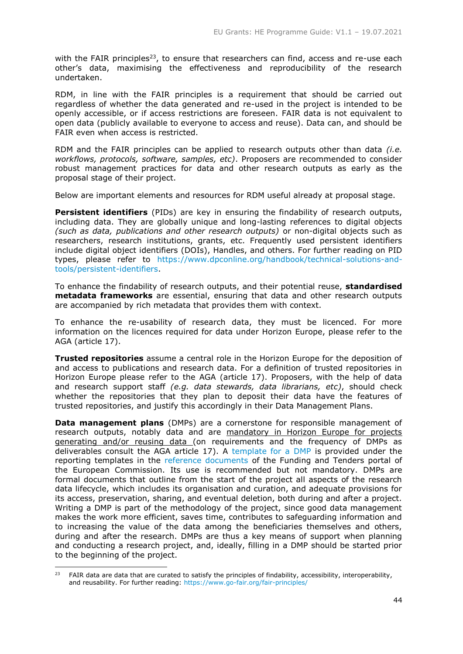with the FAIR principles<sup>23</sup>, to ensure that researchers can find, access and re-use each other's data, maximising the effectiveness and reproducibility of the research undertaken.

RDM, in line with the FAIR principles is a requirement that should be carried out regardless of whether the data generated and re-used in the project is intended to be openly accessible, or if access restrictions are foreseen. FAIR data is not equivalent to open data (publicly available to everyone to access and reuse). Data can, and should be FAIR even when access is restricted.

RDM and the FAIR principles can be applied to research outputs other than data *(i.e. workflows, protocols, software, samples, etc)*. Proposers are recommended to consider robust management practices for data and other research outputs as early as the proposal stage of their project.

Below are important elements and resources for RDM useful already at proposal stage.

**Persistent identifiers** (PIDs) are key in ensuring the findability of research outputs, including data. They are globally unique and long-lasting references to digital objects *(such as data, publications and other research outputs)* or non-digital objects such as researchers, research institutions, grants, etc. Frequently used persistent identifiers include digital object identifiers (DOIs), Handles, and others. For further reading on PID types, please refer to [https://www.dpconline.org/handbook/technical-solutions-and](https://www.dpconline.org/handbook/technical-solutions-and-tools/persistent-identifiers)[tools/persistent-identifiers.](https://www.dpconline.org/handbook/technical-solutions-and-tools/persistent-identifiers)

To enhance the findability of research outputs, and their potential reuse, **standardised metadata frameworks** are essential, ensuring that data and other research outputs are accompanied by rich metadata that provides them with context.

To enhance the re-usability of research data, they must be licenced. For more information on the licences required for data under Horizon Europe, please refer to the AGA (article 17).

**Trusted repositories** assume a central role in the Horizon Europe for the deposition of and access to publications and research data. For a definition of trusted repositories in Horizon Europe please refer to the AGA (article 17). Proposers, with the help of data and research support staff *(e.g. data stewards, data librarians, etc)*, should check whether the repositories that they plan to deposit their data have the features of trusted repositories, and justify this accordingly in their Data Management Plans.

**Data management plans** (DMPs) are a cornerstone for responsible management of research outputs, notably data and are mandatory in Horizon Europe for projects generating and/or reusing data (on requirements and the frequency of DMPs as deliverables consult the AGA article 17). A [template for a DMP](https://ec.europa.eu/info/funding-tenders/opportunities/docs/2021-2027/horizon/temp-form/report/data-management-plan-template_he_en.docx) is provided under the reporting templates in the [reference documents](https://ec.europa.eu/info/funding-tenders/opportunities/portal/screen/how-to-participate/reference-documents) of the Funding and Tenders portal of the European Commission. Its use is recommended but not mandatory. DMPs are formal documents that outline from the start of the project all aspects of the research data lifecycle, which includes its organisation and curation, and adequate provisions for its access, preservation, sharing, and eventual deletion, both during and after a project. Writing a DMP is part of the methodology of the project, since good data management makes the work more efficient, saves time, contributes to safeguarding information and to increasing the value of the data among the beneficiaries themselves and others, during and after the research. DMPs are thus a key means of support when planning and conducting a research project, and, ideally, filling in a DMP should be started prior to the beginning of the project.

-

<sup>&</sup>lt;sup>23</sup> FAIR data are data that are curated to satisfy the principles of findability, accessibility, interoperability, and reusability. For further reading:<https://www.go-fair.org/fair-principles/>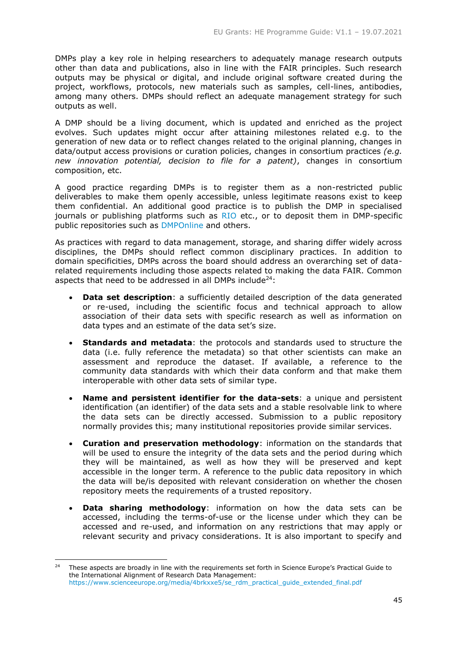DMPs play a key role in helping researchers to adequately manage research outputs other than data and publications, also in line with the FAIR principles. Such research outputs may be physical or digital, and include original software created during the project, workflows, protocols, new materials such as samples, cell-lines, antibodies, among many others. DMPs should reflect an adequate management strategy for such outputs as well.

A DMP should be a living document, which is updated and enriched as the project evolves. Such updates might occur after attaining milestones related e.g. to the generation of new data or to reflect changes related to the original planning, changes in data/output access provisions or curation policies, changes in consortium practices *(e.g. new innovation potential, decision to file for a patent)*, changes in consortium composition, etc.

A good practice regarding DMPs is to register them as a non-restricted public deliverables to make them openly accessible, unless legitimate reasons exist to keep them confidential. An additional good practice is to publish the DMP in specialised journals or publishing platforms such as [RIO](https://riojournal.com/) etc., or to deposit them in DMP-specific public repositories such as [DMPOnline](https://dmponline.dcc.ac.uk/) and others.

As practices with regard to data management, storage, and sharing differ widely across disciplines, the DMPs should reflect common disciplinary practices. In addition to domain specificities, DMPs across the board should address an overarching set of datarelated requirements including those aspects related to making the data FAIR. Common aspects that need to be addressed in all DMPs include<sup>24</sup>:

- **Data set description**: a sufficiently detailed description of the data generated or re-used, including the scientific focus and technical approach to allow association of their data sets with specific research as well as information on data types and an estimate of the data set's size.
- **Standards and metadata**: the protocols and standards used to structure the data (i.e. fully reference the metadata) so that other scientists can make an assessment and reproduce the dataset. If available, a reference to the community data standards with which their data conform and that make them interoperable with other data sets of similar type.
- **Name and persistent identifier for the data-sets**: a unique and persistent identification (an identifier) of the data sets and a stable resolvable link to where the data sets can be directly accessed. Submission to a public repository normally provides this; many institutional repositories provide similar services.
- **Curation and preservation methodology**: information on the standards that will be used to ensure the integrity of the data sets and the period during which they will be maintained, as well as how they will be preserved and kept accessible in the longer term. A reference to the public data repository in which the data will be/is deposited with relevant consideration on whether the chosen repository meets the requirements of a trusted repository.
- **Data sharing methodology**: information on how the data sets can be accessed, including the terms-of-use or the license under which they can be accessed and re-used, and information on any restrictions that may apply or relevant security and privacy considerations. It is also important to specify and

-

<sup>&</sup>lt;sup>24</sup> These aspects are broadly in line with the requirements set forth in Science Europe's Practical Guide to the International Alignment of Research Data Management: [https://www.scienceeurope.org/media/4brkxxe5/se\\_rdm\\_practical\\_guide\\_extended\\_final.pdf](https://www.scienceeurope.org/media/4brkxxe5/se_rdm_practical_guide_extended_final.pdf)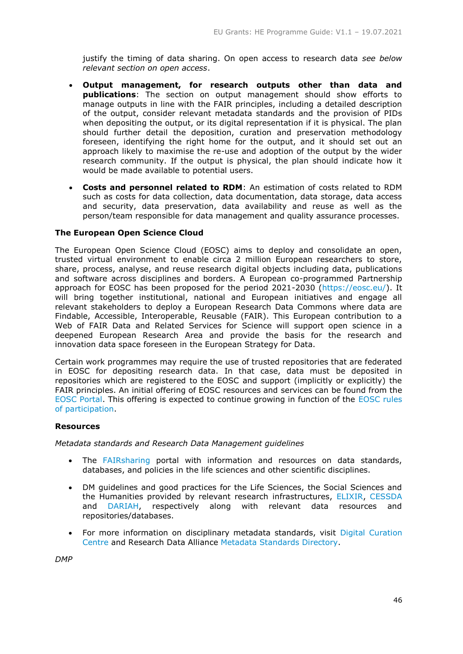justify the timing of data sharing. On open access to research data *see below relevant section on open access*.

- **Output management, for research outputs other than data and publications**: The section on output management should show efforts to manage outputs in line with the FAIR principles, including a detailed description of the output, consider relevant metadata standards and the provision of PIDs when depositing the output, or its digital representation if it is physical. The plan should further detail the deposition, curation and preservation methodology foreseen, identifying the right home for the output, and it should set out an approach likely to maximise the re-use and adoption of the output by the wider research community. If the output is physical, the plan should indicate how it would be made available to potential users.
- **Costs and personnel related to RDM**: An estimation of costs related to RDM such as costs for data collection, data documentation, data storage, data access and security, data preservation, data availability and reuse as well as the person/team responsible for data management and quality assurance processes.

# **The European Open Science Cloud**

The European Open Science Cloud (EOSC) aims to deploy and consolidate an open, trusted virtual environment to enable circa 2 million European researchers to store, share, process, analyse, and reuse research digital objects including data, publications and software across disciplines and borders. A European co-programmed Partnership approach for EOSC has been proposed for the period 2021-2030 [\(https://eosc.eu/\)](https://eosc.eu/). It will bring together institutional, national and European initiatives and engage all relevant stakeholders to deploy a European Research Data Commons where data are Findable, Accessible, Interoperable, Reusable (FAIR). This European contribution to a Web of FAIR Data and Related Services for Science will support open science in a deepened European Research Area and provide the basis for the research and innovation data space foreseen in the European Strategy for Data.

Certain work programmes may require the use of trusted repositories that are federated in EOSC for depositing research data. In that case, data must be deposited in repositories which are registered to the EOSC and support (implicitly or explicitly) the FAIR principles. An initial offering of EOSC resources and services can be found from the [EOSC Portal.](https://eosc-portal.eu/) This offering is expected to continue growing in function of the [EOSC rules](https://op.europa.eu/en/publication-detail/-/publication/a96d6233-554e-11eb-b59f-01aa75ed71a1/language-en/format-PDF/source-184432576)  [of participation.](https://op.europa.eu/en/publication-detail/-/publication/a96d6233-554e-11eb-b59f-01aa75ed71a1/language-en/format-PDF/source-184432576)

# **Resources**

*Metadata standards and Research Data Management guidelines*

- The [FAIRsharing](https://fairsharing.org/) portal with information and resources on data standards, databases, and policies in the life sciences and other scientific disciplines.
- DM guidelines and good practices for the Life Sciences, the Social Sciences and the Humanities provided by relevant research infrastructures, [ELIXIR,](https://rdm.elixir-europe.org/) [CESSDA](https://www.cessda.eu/Training/Training-Resources/Library/Data-Management-Expert-Guide) and [DARIAH,](https://www.dariah.eu/activities/working-groups/research-data-management/) respectively along with relevant data resources and repositories/databases.
- For more information on disciplinary metadata standards, visit [Digital Curation](http://www.dcc.ac.uk/)  [Centre](http://www.dcc.ac.uk/) and Research Data Alliance [Metadata Standards Directory.](https://www.rd-alliance.org/groups/metadata-standards-directory-working-group.html)

*DMP*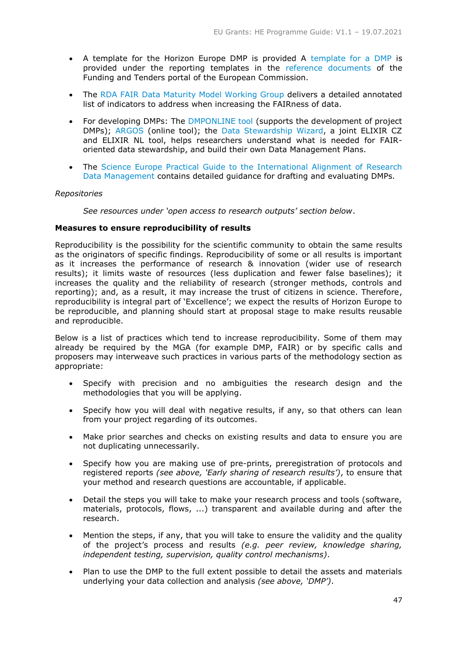- A template for the Horizon Europe DMP is provided A [template for a DMP](https://ec.europa.eu/info/funding-tenders/opportunities/docs/2021-2027/horizon/temp-form/report/data-management-plan-template_he_en.docx) is provided under the reporting templates in the [reference documents](https://ec.europa.eu/info/funding-tenders/opportunities/portal/screen/how-to-participate/reference-documents) of the Funding and Tenders portal of the European Commission.
- The [RDA FAIR Data Maturity Model Working Group](https://www.rd-alliance.org/group/fair-data-maturity-model-wg/outcomes/fair-data-maturity-model-specification-and-guidelines-0) delivers a detailed annotated list of indicators to address when increasing the FAIRness of data.
- For developing DMPs: The [DMPONLINE tool](https://dmponline.dcc.ac.uk/) (supports the development of project DMPs); [ARGOS](https://argos.openaire.eu/) (online tool); the [Data Stewardship Wizard,](https://ds-wizard.org/) a joint ELIXIR CZ and ELIXIR NL tool, helps researchers understand what is needed for FAIRoriented data stewardship, and build their own Data Management Plans.
- The Science Europe Practical Guide to the International Alignment of Research [Data Management](https://www.scienceeurope.org/media/4brkxxe5/se_rdm_practical_guide_extended_final.pdf) contains detailed guidance for drafting and evaluating DMPs.

# *Repositories*

*See resources under 'open access to research outputs' section below*.

#### **Measures to ensure reproducibility of results**

Reproducibility is the possibility for the scientific community to obtain the same results as the originators of specific findings. Reproducibility of some or all results is important as it increases the performance of research & innovation (wider use of research results); it limits waste of resources (less duplication and fewer false baselines); it increases the quality and the reliability of research (stronger methods, controls and reporting); and, as a result, it may increase the trust of citizens in science. Therefore, reproducibility is integral part of 'Excellence'; we expect the results of Horizon Europe to be reproducible, and planning should start at proposal stage to make results reusable and reproducible.

Below is a list of practices which tend to increase reproducibility. Some of them may already be required by the MGA (for example DMP, FAIR) or by specific calls and proposers may interweave such practices in various parts of the methodology section as appropriate:

- Specify with precision and no ambiguities the research design and the methodologies that you will be applying.
- Specify how you will deal with negative results, if any, so that others can lean from your project regarding of its outcomes.
- Make prior searches and checks on existing results and data to ensure you are not duplicating unnecessarily.
- Specify how you are making use of pre-prints, preregistration of protocols and registered reports *(see above, 'Early sharing of research results')*, to ensure that your method and research questions are accountable, if applicable.
- Detail the steps you will take to make your research process and tools (software, materials, protocols, flows, ...) transparent and available during and after the research.
- Mention the steps, if any, that you will take to ensure the validity and the quality of the project's process and results *(e.g. peer review, knowledge sharing, independent testing, supervision, quality control mechanisms)*.
- Plan to use the DMP to the full extent possible to detail the assets and materials underlying your data collection and analysis *(see above, 'DMP')*.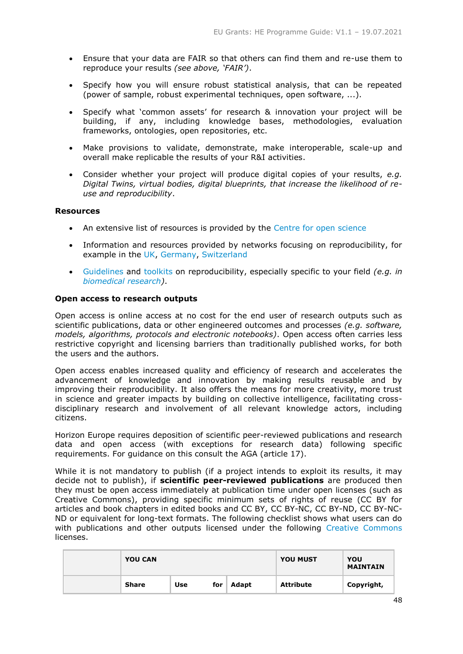- Ensure that your data are FAIR so that others can find them and re-use them to reproduce your results *(see above, 'FAIR')*.
- Specify how you will ensure robust statistical analysis, that can be repeated (power of sample, robust experimental techniques, open software, ...).
- Specify what 'common assets' for research & innovation your project will be building, if any, including knowledge bases, methodologies, evaluation frameworks, ontologies, open repositories, etc.
- Make provisions to validate, demonstrate, make interoperable, scale-up and overall make replicable the results of your R&I activities.
- Consider whether your project will produce digital copies of your results, *e.g. Digital Twins, virtual bodies, digital blueprints, that increase the likelihood of reuse and reproducibility*.

# **Resources**

- An extensive list of resources is provided by the [Centre for open science](https://www.cos.io/)
- Information and resources provided by networks focusing on reproducibility, for example in the [UK,](https://www.ukrn.org/) [Germany,](https://reproducibilitynetwork.de/) [Switzerland](https://www.swissrn.org/)
- [Guidelines](https://olz34z4bb51rsojq274o1g19-wpengine.netdna-ssl.com/wp-content/uploads/2019/11/serrapilheira-guide-open-and-reproducible-science.pdf) and [toolkits](https://ropensci.github.io/reproducibility-guide/) on reproducibility, especially specific to your field *(e.g. in [biomedical research\)](https://academic.oup.com/gigascience/article/9/6/giaa056/5849489)*.

# **Open access to research outputs**

Open access is online access at no cost for the end user of research outputs such as scientific publications, data or other engineered outcomes and processes *(e.g. software, models, algorithms, protocols and electronic notebooks)*. Open access often carries less restrictive copyright and licensing barriers than traditionally published works, for both the users and the authors.

Open access enables increased quality and efficiency of research and accelerates the advancement of knowledge and innovation by making results reusable and by improving their reproducibility. It also offers the means for more creativity, more trust in science and greater impacts by building on collective intelligence, facilitating crossdisciplinary research and involvement of all relevant knowledge actors, including citizens.

Horizon Europe requires deposition of scientific peer-reviewed publications and research data and open access (with exceptions for research data) following specific requirements. For guidance on this consult the AGA (article 17).

While it is not mandatory to publish (if a project intends to exploit its results, it may decide not to publish), if **scientific peer-reviewed publications** are produced then they must be open access immediately at publication time under open licenses (such as Creative Commons), providing specific minimum sets of rights of reuse (CC BY for articles and book chapters in edited books and CC BY, CC BY-NC, CC BY-ND, CC BY-NC-ND or equivalent for long-text formats. The following checklist shows what users can do with publications and other outputs licensed under the following [Creative Commons](https://creativecommons.org/faq/) licenses.

| <b>YOU CAN</b> |     |     |       | <b>YOU MUST</b>  | YOU<br><b>MAINTAIN</b> |
|----------------|-----|-----|-------|------------------|------------------------|
| Share          | Use | for | Adapt | <b>Attribute</b> | Copyright,             |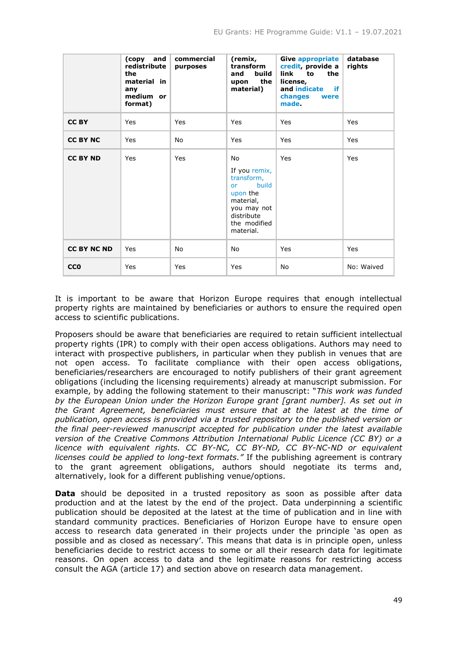|                    | and<br>(copy<br>redistribute<br>the<br>material in<br>any<br>medium or<br>format) | commercial<br>purposes | (remix,<br>transform<br>and<br>build<br>the<br>upon<br>material)                                                                                  | <b>Give appropriate</b><br>credit, provide a<br>link to<br>the<br>license,<br>and indicate<br>if.<br>changes<br>were<br>made. | database<br>rights |
|--------------------|-----------------------------------------------------------------------------------|------------------------|---------------------------------------------------------------------------------------------------------------------------------------------------|-------------------------------------------------------------------------------------------------------------------------------|--------------------|
| <b>CCBY</b>        | Yes                                                                               | Yes                    | Yes                                                                                                                                               | Yes                                                                                                                           | Yes                |
| <b>CC BY NC</b>    | Yes                                                                               | No                     | Yes                                                                                                                                               | Yes                                                                                                                           | Yes                |
| <b>CC BY ND</b>    | Yes                                                                               | Yes                    | No<br>If you remix,<br>transform,<br><b>build</b><br><b>or</b><br>upon the<br>material,<br>you may not<br>distribute<br>the modified<br>material. | Yes                                                                                                                           | Yes                |
| <b>CC BY NC ND</b> | Yes                                                                               | No                     | <b>No</b>                                                                                                                                         | Yes                                                                                                                           | Yes                |
| <b>CCO</b>         | Yes                                                                               | Yes                    | Yes                                                                                                                                               | <b>No</b>                                                                                                                     | No: Waived         |

It is important to be aware that Horizon Europe requires that enough intellectual property rights are maintained by beneficiaries or authors to ensure the required open access to scientific publications.

Proposers should be aware that beneficiaries are required to retain sufficient intellectual property rights (IPR) to comply with their open access obligations. Authors may need to interact with prospective publishers, in particular when they publish in venues that are not open access. To facilitate compliance with their open access obligations, beneficiaries/researchers are encouraged to notify publishers of their grant agreement obligations (including the licensing requirements) already at manuscript submission. For example, by adding the following statement to their manuscript: "*This work was funded by the Εuropean Union under the Horizon Europe grant [grant number]. As set out in the Grant Agreement, beneficiaries must ensure that at the latest at the time of publication, open access is provided via a trusted repository to the published version or the final peer-reviewed manuscript accepted for publication under the latest available version of the Creative Commons Attribution International Public Licence (CC BY) or a licence with equivalent rights. CC BY-NC, CC BY-ND, CC BY-NC-ND or equivalent licenses could be applied to long-text formats."* If the publishing agreement is contrary to the grant agreement obligations, authors should negotiate its terms and, alternatively, look for a different publishing venue/options.

**Data** should be deposited in a trusted repository as soon as possible after data production and at the latest by the end of the project. Data underpinning a scientific publication should be deposited at the latest at the time of publication and in line with standard community practices. Beneficiaries of Horizon Europe have to ensure open access to research data generated in their projects under the principle 'as open as possible and as closed as necessary'. This means that data is in principle open, unless beneficiaries decide to restrict access to some or all their research data for legitimate reasons. On open access to data and the legitimate reasons for restricting access consult the AGA (article 17) and section above on research data management.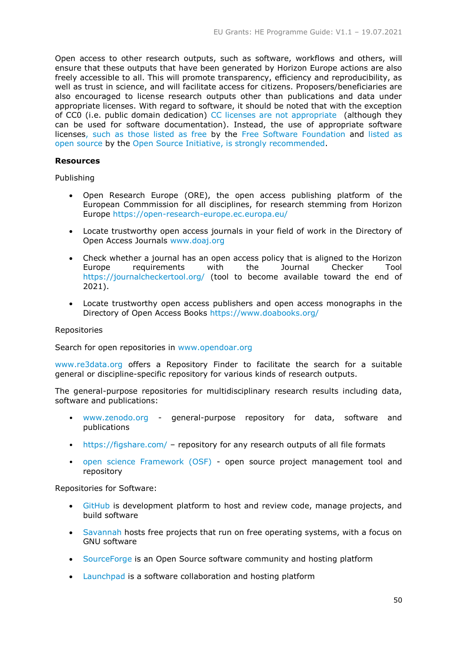Open access to other research outputs, such as software, workflows and others, will ensure that these outputs that have been generated by Horizon Europe actions are also freely accessible to all. This will promote transparency, efficiency and reproducibility, as well as trust in science, and will facilitate access for citizens. Proposers/beneficiaries are also encouraged to license research outputs other than publications and data under appropriate licenses. With regard to software, it should be noted that with the exception of CC0 (i.e. public domain dedication) [CC licenses are not appropriate](https://creativecommons.org/faq/#can-i-apply-a-creative-commons-license-to-software) (although they can be used for software documentation). Instead, the use of appropriate software license[s, such as those listed as free](https://www.gnu.org/licenses/license-list#SoftwareLicenses) by the [Free Software Foundation](https://www.fsf.org/) and [listed as](https://opensource.org/licenses)  [open source](https://opensource.org/licenses) by the [Open Source Initiative,](http://www.opensource.org/) is strongly recommended.

#### **Resources**

Publishing

- Open Research Europe (ORE), the open access publishing platform of the European Commmission for all disciplines, for research stemming from Horizon Europe<https://open-research-europe.ec.europa.eu/>
- Locate trustworthy open access journals in your field of work in the Directory of Open Access Journals [www.doaj.org](http://www.doaj.org/)
- Check whether a journal has an open access policy that is aligned to the Horizon Europe requirements with the Journal Checker Tool <https://journalcheckertool.org/> (tool to become available toward the end of 2021).
- Locate trustworthy open access publishers and open access monographs in the Directory of Open Access Books<https://www.doabooks.org/>

#### Repositories

Search for open repositories in [www.opendoar.org](http://www.opendoar.org/)

[www.re3data.org](http://www.re3data.org/) offers a Repository Finder to facilitate the search for a suitable general or discipline-specific repository for various kinds of research outputs.

The general-purpose repositories for multidisciplinary research results including data, software and publications:

- [www.zenodo.org](http://www.zenodo.org/) general-purpose repository for data, software and publications
- <https://figshare.com/> repository for any research outputs of all file formats
- [open science Framework \(OSF\)](https://osf.io/preprints/socarxiv) open source project management tool and repository

Repositories for Software:

- [GitHub](https://github.com/) is development platform to host and review code, manage projects, and build software
- [Savannah](https://savannah.gnu.org/) hosts free projects that run on free operating systems, with a focus on GNU software
- [SourceForge](https://sourceforge.net/) is an Open Source software community and hosting platform
- [Launchpad](https://launchpad.net/) is a software collaboration and hosting platform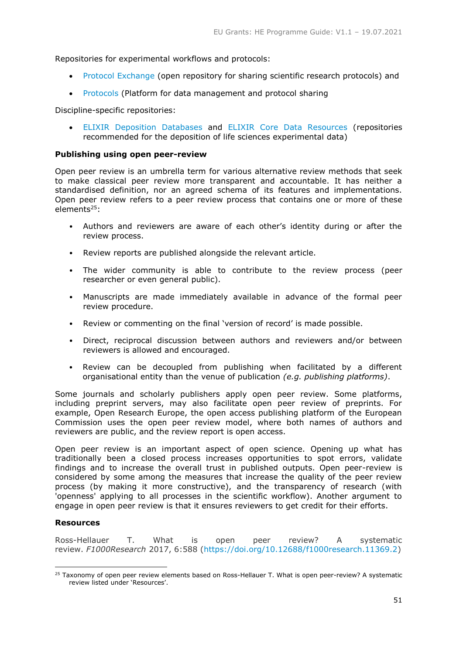Repositories for experimental workflows and protocols:

- [Protocol Exchange](https://protocolexchange.researchsquare.com/) (open repository for sharing scientific research protocols) and
- [Protocols](https://www.protocols.io/) (Platform for data management and protocol sharing

Discipline-specific repositories:

 [ELIXIR Deposition Databases](https://elixir-europe.org/platforms/data/elixir-deposition-databases) and [ELIXIR Core Data Resources](https://elixir-europe.org/platforms/data/core-data-resources) (repositories recommended for the deposition of life sciences experimental data)

# **Publishing using open peer-review**

Open peer review is an umbrella term for various alternative review methods that seek to make classical peer review more transparent and accountable. It has neither a standardised definition, nor an agreed schema of its features and implementations. Open peer review refers to a peer review process that contains one or more of these elements<sup>25</sup>:

- Authors and reviewers are aware of each other's identity during or after the review process.
- Review reports are published alongside the relevant article.
- The wider community is able to contribute to the review process (peer researcher or even general public).
- Manuscripts are made immediately available in advance of the formal peer review procedure.
- Review or commenting on the final 'version of record' is made possible.
- Direct, reciprocal discussion between authors and reviewers and/or between reviewers is allowed and encouraged.
- Review can be decoupled from publishing when facilitated by a different organisational entity than the venue of publication *(e.g. publishing platforms)*.

Some journals and scholarly publishers apply open peer review. Some platforms, including preprint servers, may also facilitate open peer review of preprints. For example, Open Research Europe, the open access publishing platform of the European Commission uses the open peer review model, where both names of authors and reviewers are public, and the review report is open access.

Open peer review is an important aspect of open science. Opening up what has traditionally been a closed process increases opportunities to spot errors, validate findings and to increase the overall trust in published outputs. Open peer-review is considered by some among the measures that increase the quality of the peer review process (by making it more constructive), and the transparency of research (with 'openness' applying to all processes in the scientific workflow). Another argument to engage in open peer review is that it ensures reviewers to get credit for their efforts.

# **Resources**

-

Ross-Hellauer T. What is open peer review? A systematic review. *F1000Research* 2017, 6:588 [\(https://doi.org/10.12688/f1000research.11369.2\)](https://doi.org/10.12688/f1000research.11369.2)

<sup>&</sup>lt;sup>25</sup> Taxonomy of open peer review elements based on Ross-Hellauer T. What is open peer-review? A systematic review listed under 'Resources'.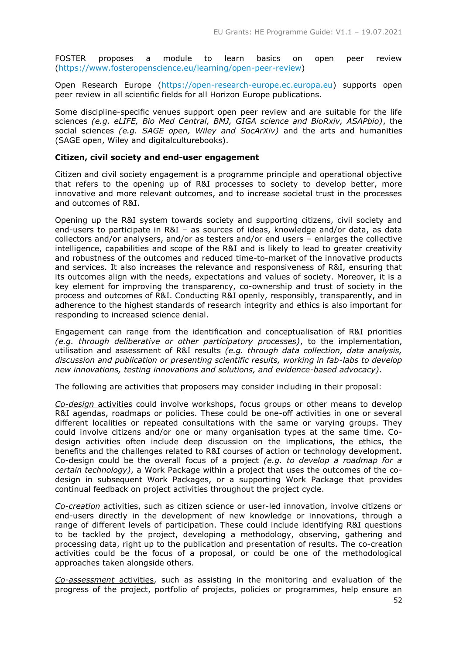FOSTER proposes a module to learn basics on open peer review [\(https://www.fosteropenscience.eu/learning/open-peer-review\)](https://www.fosteropenscience.eu/learning/open-peer-review)

Open Research Europe [\(https://open-research-europe.ec.europa.eu\)](https://open-research-europe.ec.europa.eu/) supports open peer review in all scientific fields for all Horizon Europe publications.

Some discipline-specific venues support open peer review and are suitable for the life sciences *(e.g. eLIFE, Bio Med Central, BMJ, GIGA science and BioRxiv, ASAPbio)*, the social sciences *(e.g. SAGE open, Wiley and SocArXiv)* and the arts and humanities (SAGE open, Wiley and digitalculturebooks).

#### **Citizen, civil society and end-user engagement**

Citizen and civil society engagement is a programme principle and operational objective that refers to the opening up of R&I processes to society to develop better, more innovative and more relevant outcomes, and to increase societal trust in the processes and outcomes of R&I.

Opening up the R&I system towards society and supporting citizens, civil society and end-users to participate in R&I – as sources of ideas, knowledge and/or data, as data collectors and/or analysers, and/or as testers and/or end users – enlarges the collective intelligence, capabilities and scope of the R&I and is likely to lead to greater creativity and robustness of the outcomes and reduced time-to-market of the innovative products and services. It also increases the relevance and responsiveness of R&I, ensuring that its outcomes align with the needs, expectations and values of society. Moreover, it is a key element for improving the transparency, co-ownership and trust of society in the process and outcomes of R&I. Conducting R&I openly, responsibly, transparently, and in adherence to the highest standards of research integrity and ethics is also important for responding to increased science denial.

Engagement can range from the identification and conceptualisation of R&I priorities *(e.g. through deliberative or other participatory processes)*, to the implementation, utilisation and assessment of R&I results *(e.g. through data collection, data analysis, discussion and publication or presenting scientific results, working in fab-labs to develop new innovations, testing innovations and solutions, and evidence-based advocacy)*.

The following are activities that proposers may consider including in their proposal:

*Co-design* activities could involve workshops, focus groups or other means to develop R&I agendas, roadmaps or policies. These could be one-off activities in one or several different localities or repeated consultations with the same or varying groups. They could involve citizens and/or one or many organisation types at the same time. Codesign activities often include deep discussion on the implications, the ethics, the benefits and the challenges related to R&I courses of action or technology development. Co-design could be the overall focus of a project *(e.g. to develop a roadmap for a certain technology)*, a Work Package within a project that uses the outcomes of the codesign in subsequent Work Packages, or a supporting Work Package that provides continual feedback on project activities throughout the project cycle.

*Co-creation* activities, such as citizen science or user-led innovation, involve citizens or end-users directly in the development of new knowledge or innovations, through a range of different levels of participation. These could include identifying R&I questions to be tackled by the project, developing a methodology, observing, gathering and processing data, right up to the publication and presentation of results. The co-creation activities could be the focus of a proposal, or could be one of the methodological approaches taken alongside others.

*Co-assessment* activities, such as assisting in the monitoring and evaluation of the progress of the project, portfolio of projects, policies or programmes, help ensure an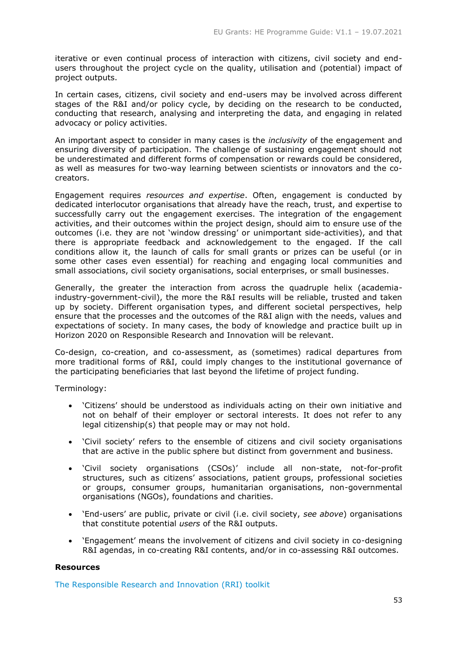iterative or even continual process of interaction with citizens, civil society and endusers throughout the project cycle on the quality, utilisation and (potential) impact of project outputs.

In certain cases, citizens, civil society and end-users may be involved across different stages of the R&I and/or policy cycle, by deciding on the research to be conducted, conducting that research, analysing and interpreting the data, and engaging in related advocacy or policy activities.

An important aspect to consider in many cases is the *inclusivity* of the engagement and ensuring diversity of participation. The challenge of sustaining engagement should not be underestimated and different forms of compensation or rewards could be considered, as well as measures for two-way learning between scientists or innovators and the cocreators.

Engagement requires *resources and expertise*. Often, engagement is conducted by dedicated interlocutor organisations that already have the reach, trust, and expertise to successfully carry out the engagement exercises. The integration of the engagement activities, and their outcomes within the project design, should aim to ensure use of the outcomes (i.e. they are not 'window dressing' or unimportant side-activities), and that there is appropriate feedback and acknowledgement to the engaged. If the call conditions allow it, the launch of calls for small grants or prizes can be useful (or in some other cases even essential) for reaching and engaging local communities and small associations, civil society organisations, social enterprises, or small businesses.

Generally, the greater the interaction from across the quadruple helix (academiaindustry-government-civil), the more the R&I results will be reliable, trusted and taken up by society. Different organisation types, and different societal perspectives, help ensure that the processes and the outcomes of the R&I align with the needs, values and expectations of society. In many cases, the body of knowledge and practice built up in Horizon 2020 on Responsible Research and Innovation will be relevant.

Co-design, co-creation, and co-assessment, as (sometimes) radical departures from more traditional forms of R&I, could imply changes to the institutional governance of the participating beneficiaries that last beyond the lifetime of project funding.

Terminology:

- 'Citizens' should be understood as individuals acting on their own initiative and not on behalf of their employer or sectoral interests. It does not refer to any legal citizenship(s) that people may or may not hold.
- 'Civil society' refers to the ensemble of citizens and civil society organisations that are active in the public sphere but distinct from government and business.
- 'Civil society organisations (CSOs)' include all non-state, not-for-profit structures, such as citizens' associations, patient groups, professional societies or groups, consumer groups, humanitarian organisations, non-governmental organisations (NGOs), foundations and charities.
- 'End-users' are public, private or civil (i.e. civil society, *see above*) organisations that constitute potential *users* of the R&I outputs.
- 'Engagement' means the involvement of citizens and civil society in co-designing R&I agendas, in co-creating R&I contents, and/or in co-assessing R&I outcomes.

# **Resources**

[The Responsible Research and Innovation \(RRI\) toolkit](https://rri-tools.eu/)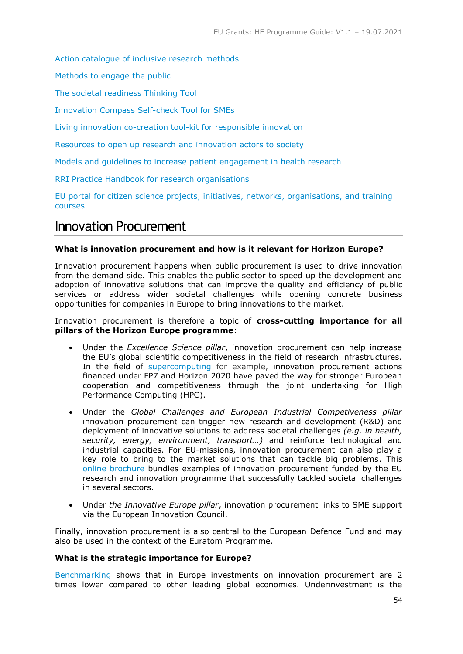[Action catalogue of inclusive research methods](http://actioncatalogue.eu/)

[Methods to engage the public](https://www.ecsite.eu/activities-and-services/projects/sparks)

[The societal readiness Thinking Tool](https://thinkingtool.eu/)

[Innovation Compass Self-check Tool for SMEs](http://self-check-tool-innovation-compass.eu/)

[Living innovation co-creation tool-kit for responsible innovation](https://www-living-innovation.net/news/article?id=212&title=new-toolkit-for-effective-co-creation)

Resources to open up research [and innovation actors to society](https://www.orion-openscience.eu/)

[Models and guidelines to increase patient engagement in health research](https://www.multiact.eu/)

[RRI Practice Handbook for](https://www.rri-practice.eu/knowledge-repository/practical-handbook) research organisations

EU portal for [citizen science projects, initiatives, networks, organisations, and training](https://eu-citizen.science/)  [courses](https://eu-citizen.science/)

# <span id="page-53-0"></span>Innovation Procurement

# **What is innovation procurement and how is it relevant for Horizon Europe?**

Innovation procurement happens when public procurement is used to drive innovation from the demand side. This enables the public sector to speed up the development and adoption of innovative solutions that can improve the quality and efficiency of public services or address wider societal challenges while opening concrete business opportunities for companies in Europe to bring innovations to the market.

#### Innovation procurement is therefore a topic of **cross-cutting importance for all pillars of the Horizon Europe programme**:

- Under the *Excellence Science pillar*, innovation procurement can help increase the EU's global scientific competitiveness in the field of research infrastructures. In the field of [supercomputing](https://digital-strategy.ec.europa.eu/en/news/european-procurement-cooperation-delivers-more-powerful-and-energy-efficient-supercomputers) for example, innovation procurement actions financed under FP7 and Horizon 2020 have paved the way for stronger European cooperation and competitiveness through the joint undertaking for High Performance Computing (HPC).
- Under the *Global Challenges and European Industrial Competiveness pillar* innovation procurement can trigger new research and development (R&D) and deployment of innovative solutions to address societal challenges *(e.g. in health, security, energy, environment, transport…)* and reinforce technological and industrial capacities. For EU-missions, innovation procurement can also play a key role to bring to the market solutions that can tackle big problems. This [online brochure](https://digital-strategy.ec.europa.eu/en/library/innovation-procurement-power-public-purse) bundles examples of innovation procurement funded by the EU research and innovation programme that successfully tackled societal challenges in several sectors.
- Under *the Innovative Europe pillar*, innovation procurement links to SME support via the European Innovation Council.

Finally, innovation procurement is also central to the European Defence Fund and may also be used in the context of the Euratom Programme.

# **What is the strategic importance for Europe?**

[Benchmarking](https://digital-strategy.ec.europa.eu/en/news/final-report-benchmarking-national-innovation-procurement-investments-and-policy-frameworks-across) shows that in Europe investments on innovation procurement are 2 times lower compared to other leading global economies. Underinvestment is the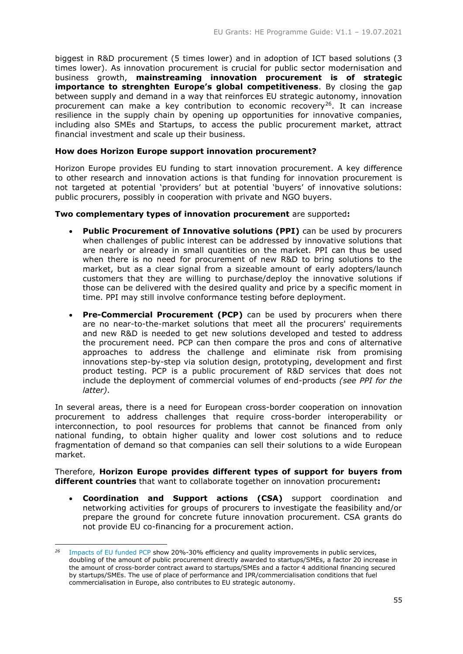biggest in R&D procurement (5 times lower) and in adoption of ICT based solutions (3 times lower). As innovation procurement is crucial for public sector modernisation and business growth, **mainstreaming innovation procurement is of strategic importance to strenghten Europe's global competitiveness**. By closing the gap between supply and demand in a way that reinforces EU strategic autonomy, innovation procurement can make a key contribution to economic recovery<sup>26</sup>. It can increase resilience in the supply chain by opening up opportunities for innovative companies, including also SMEs and Startups, to access the public procurement market, attract financial investment and scale up their business.

# **How does Horizon Europe support innovation procurement?**

Horizon Europe provides EU funding to start innovation procurement. A key difference to other research and innovation actions is that funding for innovation procurement is not targeted at potential 'providers' but at potential 'buyers' of innovative solutions: public procurers, possibly in cooperation with private and NGO buyers.

# **Two complementary types of innovation procurement** are supported**:**

- **Public Procurement of Innovative solutions (PPI)** can be used by procurers when challenges of public interest can be addressed by innovative solutions that are nearly or already in small quantities on the market. PPI can thus be used when there is no need for procurement of new R&D to bring solutions to the market, but as a clear signal from a sizeable amount of early adopters/launch customers that they are willing to purchase/deploy the innovative solutions if those can be delivered with the desired quality and price by a specific moment in time. PPI may still involve conformance testing before deployment.
- **Pre-Commercial Procurement (PCP)** can be used by procurers when there are no near-to-the-market solutions that meet all the procurers' requirements and new R&D is needed to get new solutions developed and tested to address the procurement need. PCP can then compare the pros and cons of alternative approaches to address the challenge and eliminate risk from promising innovations step-by-step via solution design, prototyping, development and first product testing. PCP is a public procurement of R&D services that does not include the deployment of commercial volumes of end-products *(see PPI for the latter)*.

In several areas, there is a need for European cross-border cooperation on innovation procurement to address challenges that require cross-border interoperability or interconnection, to pool resources for problems that cannot be financed from only national funding, to obtain higher quality and lower cost solutions and to reduce fragmentation of demand so that companies can sell their solutions to a wide European market.

Therefore, **Horizon Europe provides different types of support for buyers from different countries** that want to collaborate together on innovation procurement**:**

 **Coordination and Support actions (CSA)** support coordination and networking activities for groups of procurers to investigate the feasibility and/or prepare the ground for concrete future innovation procurement. CSA grants do not provide EU co-financing for a procurement action.

-

<sup>&</sup>lt;sup>26</sup> [Impacts of EU funded PCP](https://ec.europa.eu/digital-single-market/en/news/impacts-eu-funded-pre-commercial-procurements) show 20%-30% efficiency and quality improvements in public services, doubling of the amount of public procurement directly awarded to startups/SMEs, a factor 20 increase in the amount of cross-border contract award to startups/SMEs and a factor 4 additional financing secured by startups/SMEs. The use of place of performance and IPR/commercialisation conditions that fuel commercialisation in Europe, also contributes to EU strategic autonomy.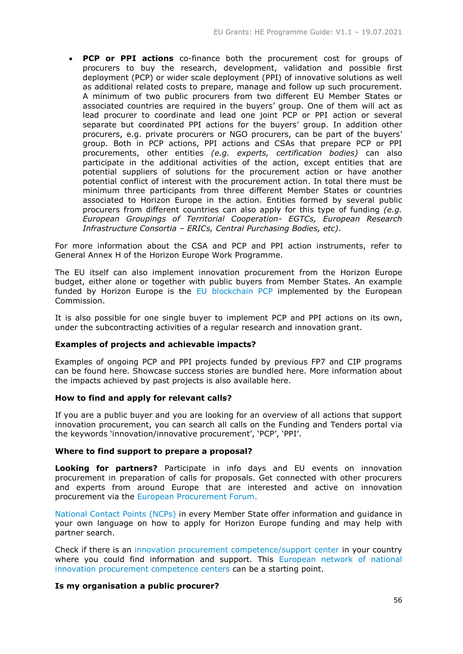**PCP or PPI actions** co-finance both the procurement cost for groups of procurers to buy the research, development, validation and possible first deployment (PCP) or wider scale deployment (PPI) of innovative solutions as well as additional related costs to prepare, manage and follow up such procurement. A minimum of two public procurers from two different EU Member States or associated countries are required in the buyers' group. One of them will act as lead procurer to coordinate and lead one joint PCP or PPI action or several separate but coordinated PPI actions for the buyers' group. In addition other procurers, e.g. private procurers or NGO procurers, can be part of the buyers' group. Both in PCP actions, PPI actions and CSAs that prepare PCP or PPI procurements, other entities *(e.g. experts, certification bodies)* can also participate in the additional activities of the action, except entities that are potential suppliers of solutions for the procurement action or have another potential conflict of interest with the procurement action. In total there must be minimum three participants from three different Member States or countries associated to Horizon Europe in the action. Entities formed by several public procurers from different countries can also apply for this type of funding *(e.g. European Groupings of Territorial Cooperation- EGTCs, European Research Infrastructure Consortia – ERICs, Central Purchasing Bodies, etc)*.

For more information about the CSA and PCP and PPI action instruments, refer to General Annex H of the Horizon Europe Work Programme.

The EU itself can also implement innovation procurement from the Horizon Europe budget, either alone or together with public buyers from Member States. An example funded by Horizon Europe is the [EU blockchain PCP](https://digital-strategy.ec.europa.eu/en/news/european-blockchain-pre-commercial-procurement) implemented by the European Commission.

It is also possible for one single buyer to implement PCP and PPI actions on its own, under the subcontracting activities of a regular research and innovation grant.

# **Examples of projects and achievable impacts?**

Examples of ongoing PCP and PPI projects funded by previous FP7 and CIP programs can be found [here.](https://ec.europa.eu/digital-single-market/en/eu-funded-projects-implementing-pre-commercial-procurements-pcp-or-public-procurement-innovative) Showcase success stories are bundled [here.](https://digital-strategy.ec.europa.eu/en/news/pre-commercial-procurement-showcases) More information about the impacts achieved by past projects is also available [here.](https://digital-strategy.ec.europa.eu/en/news/impacts-eu-funded-pre-commercial-procurements)

# **How to find and apply for relevant calls?**

If you are a public buyer and you are looking for an overview of all actions that support innovation procurement, you can search all calls on the Funding and Tenders portal via the keywords 'innovation/innovative procurement', 'PCP', 'PPI'.

# **Where to find support to prepare a proposal?**

**Looking for partners?** Participate in info days and EU events on innovation procurement in preparation of calls for proposals. Get connected with other procurers and experts from around Europe that are interested and active on innovation procurement via the [European Procurement Forum.](http://www.procurement-forum.eu/)

[National Contact Points \(NCPs\)](https://ec.europa.eu/info/funding-tenders/opportunities/portal/screen/support/ncp) in every Member State offer information and guidance in your own language on how to apply for Horizon Europe funding and may help with partner search.

Check if there is an [innovation procurement competence/support center](https://digital-strategy.ec.europa.eu/en/news/final-report-benchmarking-national-innovation-procurement-investments-and-policy-frameworks-across) in your country where you could find information and support. This European network of national [innovation procurement competence centers](https://procure2innovate.eu/home/) can be a starting point.

# **Is my organisation a public procurer?**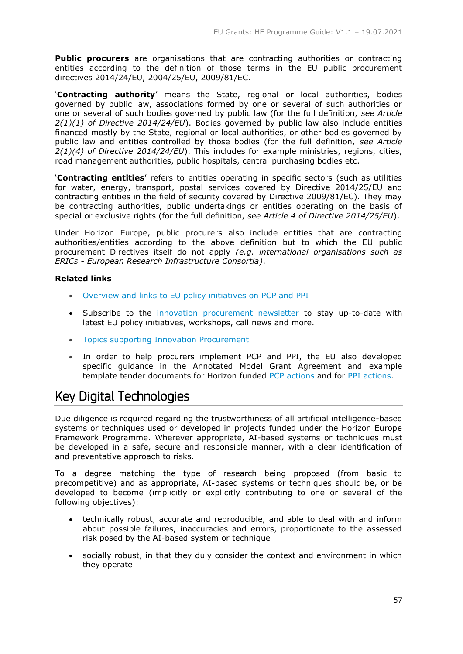**Public procurers** are organisations that are contracting authorities or contracting entities according to the definition of those terms in the EU public procurement directives 2014/24/EU, 2004/25/EU, 2009/81/EC.

'**Contracting authority**' means the State, regional or local authorities, bodies governed by public law, associations formed by one or several of such authorities or one or several of such bodies governed by public law (for the full definition, *see Article 2(1)(1) of Directive 2014/24/EU*). Bodies governed by public law also include entities financed mostly by the State, regional or local authorities, or other bodies governed by public law and entities controlled by those bodies (for the full definition, *see Article 2(1)(4) of Directive 2014/24/EU*). This includes for example ministries, regions, cities, road management authorities, public hospitals, central purchasing bodies etc.

'**Contracting entities**' refers to entities operating in specific sectors (such as utilities for water, energy, transport, postal services covered by Directive 2014/25/EU and contracting entities in the field of security covered by Directive 2009/81/EC). They may be contracting authorities, public undertakings or entities operating on the basis of special or exclusive rights (for the full definition, *see Article 4 of Directive 2014/25/EU*).

Under Horizon Europe, public procurers also include entities that are contracting authorities/entities according to the above definition but to which the EU public procurement Directives itself do not apply *(e.g. international organisations such as ERICs - European Research Infrastructure Consortia)*.

# **Related links**

- [Overview and links to EU policy initiatives](https://ec.europa.eu/digital-single-market/news/eu-policy-initiatives-pcp-and-ppi) on PCP and PPI
- Subscribe to the [innovation procurement newsletter](https://ec.europa.eu/information_society/newsroom/cf/dae/subscription-quick-generic-form-fullpage.cfm?service_id=167) to stay up-to-date with latest EU policy initiatives, workshops, call news and more.
- Topics supporting [Innovation Procurement](https://ec.europa.eu/info/funding-tenders/opportunities/portal/screen/opportunities/topic-search-cs;freeTextSearchKeyword=;matchWholeText=true;typeCodes=1,2;statusCodes=31094501,31094502,31094503;programmePeriod=2014%20-%202020;programCcm2Id=31045243;programDivisionCode=null;focusAreaCode=null;geographicalZonesCode=null;programmeDivisionProspect=null;startDateLte=null;startDateGte=null;crossCuttingPriorityCode=InnovationProcurement;callCode=null;cpvCode=null;performanceOfDelivery=null;sortQuery=sortStatus;orderBy=asc;onlyTenders=false;topicListKey=topicSearchTablePageState)
- In order to help procurers implement PCP and PPI, the EU also developed specific guidance in the Annotated Model Grant Agreement and example template tender documents for Horizon funded PCP [actions](http://ec.europa.eu/research/participants/data/ref/h2020/other/gm/h2020-guide-pcp-procurement-docs_en.docx) and for [PPI actions.](http://ec.europa.eu/research/participants/data/ref/h2020/other/gm/h2020-guide-ppi-procurement-docs_en.docx)

# <span id="page-56-0"></span>Key Digital Technologies

Due diligence is required regarding the trustworthiness of all artificial intelligence-based systems or techniques used or developed in projects funded under the Horizon Europe Framework Programme. Wherever appropriate, AI-based systems or techniques must be developed in a safe, secure and responsible manner, with a clear identification of and preventative approach to risks.

To a degree matching the type of research being proposed (from basic to precompetitive) and as appropriate, AI-based systems or techniques should be, or be developed to become (implicitly or explicitly contributing to one or several of the following objectives):

- technically robust, accurate and reproducible, and able to deal with and inform about possible failures, inaccuracies and errors, proportionate to the assessed risk posed by the AI-based system or technique
- socially robust, in that they duly consider the context and environment in which they operate